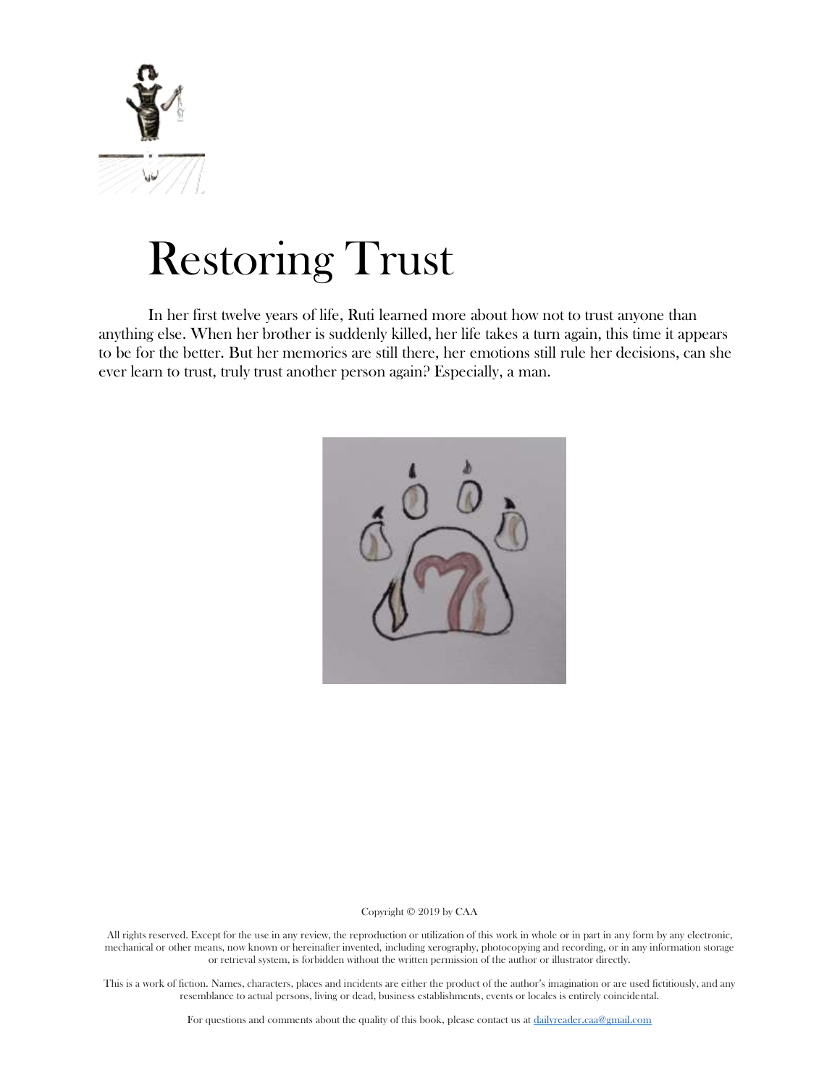

# Restoring Trust

In her first twelve years of life, Ruti learned more about how not to trust anyone than anything else. When her brother is suddenly killed, her life takes a turn again, this time it appears to be for the better. But her memories are still there, her emotions still rule her decisions, can she ever learn to trust, truly trust another person again? Especially, a man.



#### Copyright © 2019 by CAA

All rights reserved. Except for the use in any review, the reproduction or utilization of this work in whole or in part in any form by any electronic, mechanical or other means, now known or hereinafter invented, including xerography, photocopying and recording, or in any information storage or retrieval system, is forbidden without the written permission of the author or illustrator directly.

This is a work of fiction. Names, characters, places and incidents are either the product of the author's imagination or are used fictitiously, and any resemblance to actual persons, living or dead, business establishments, events or locales is entirely coincidental.

For questions and comments about the quality of this book, please contact us at [dailyreader.caa@gmail.com](mailto:dailyreader.caa@gmail.com)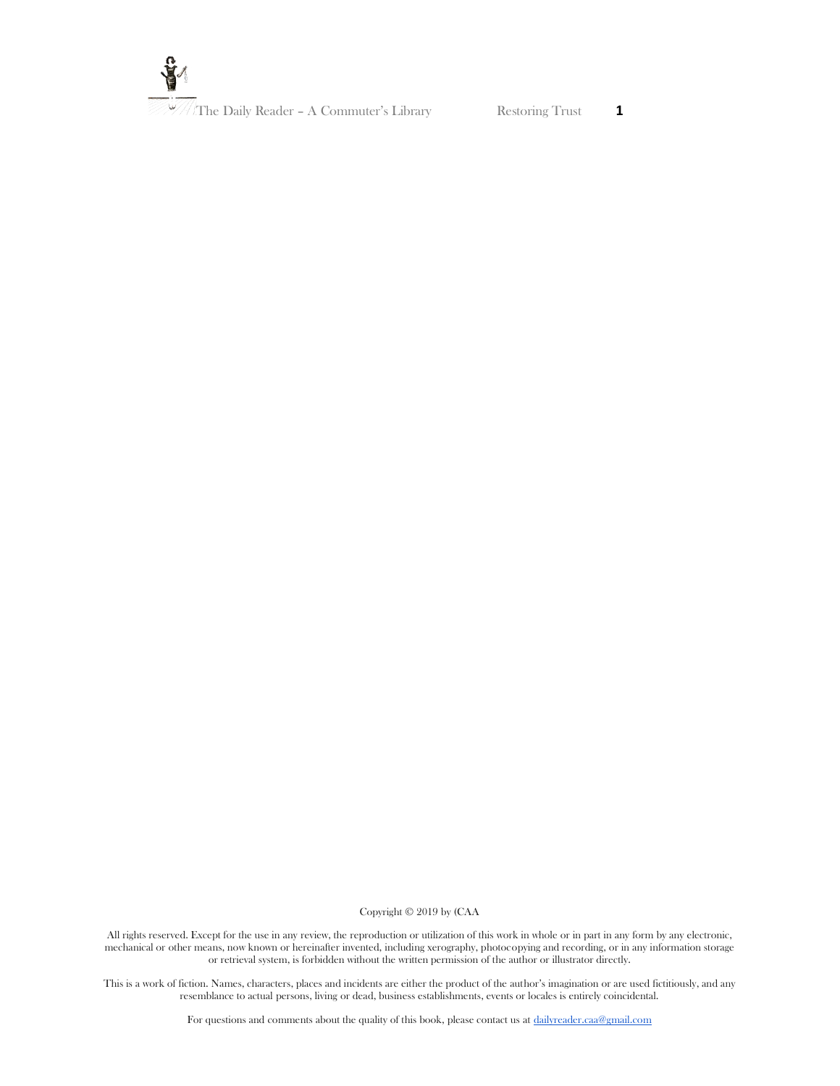

Copyright © 2019 by (CAA

All rights reserved. Except for the use in any review, the reproduction or utilization of this work in whole or in part in any form by any electronic, mechanical or other means, now known or hereinafter invented, including xerography, photocopying and recording, or in any information storage or retrieval system, is forbidden without the written permission of the author or illustrator directly.

This is a work of fiction. Names, characters, places and incidents are either the product of the author's imagination or are used fictitiously, and any resemblance to actual persons, living or dead, business establishments, events or locales is entirely coincidental.

For questions and comments about the quality of this book, please contact us at [dailyreader.caa@gmail.com](mailto:dailyreader.caa@gmail.com)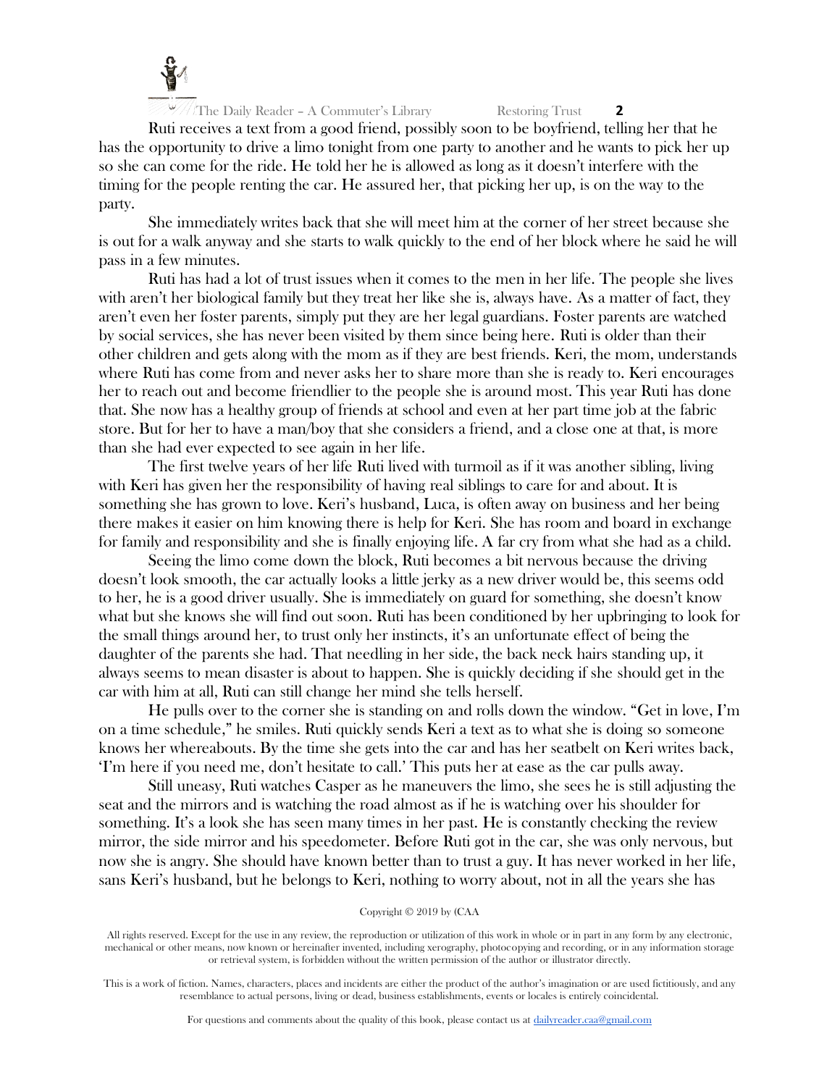

Ruti receives a text from a good friend, possibly soon to be boyfriend, telling her that he has the opportunity to drive a limo tonight from one party to another and he wants to pick her up so she can come for the ride. He told her he is allowed as long as it doesn't interfere with the timing for the people renting the car. He assured her, that picking her up, is on the way to the party.

She immediately writes back that she will meet him at the corner of her street because she is out for a walk anyway and she starts to walk quickly to the end of her block where he said he will pass in a few minutes.

Ruti has had a lot of trust issues when it comes to the men in her life. The people she lives with aren't her biological family but they treat her like she is, always have. As a matter of fact, they aren't even her foster parents, simply put they are her legal guardians. Foster parents are watched by social services, she has never been visited by them since being here. Ruti is older than their other children and gets along with the mom as if they are best friends. Keri, the mom, understands where Ruti has come from and never asks her to share more than she is ready to. Keri encourages her to reach out and become friendlier to the people she is around most. This year Ruti has done that. She now has a healthy group of friends at school and even at her part time job at the fabric store. But for her to have a man/boy that she considers a friend, and a close one at that, is more than she had ever expected to see again in her life.

The first twelve years of her life Ruti lived with turmoil as if it was another sibling, living with Keri has given her the responsibility of having real siblings to care for and about. It is something she has grown to love. Keri's husband, Luca, is often away on business and her being there makes it easier on him knowing there is help for Keri. She has room and board in exchange for family and responsibility and she is finally enjoying life. A far cry from what she had as a child.

Seeing the limo come down the block, Ruti becomes a bit nervous because the driving doesn't look smooth, the car actually looks a little jerky as a new driver would be, this seems odd to her, he is a good driver usually. She is immediately on guard for something, she doesn't know what but she knows she will find out soon. Ruti has been conditioned by her upbringing to look for the small things around her, to trust only her instincts, it's an unfortunate effect of being the daughter of the parents she had. That needling in her side, the back neck hairs standing up, it always seems to mean disaster is about to happen. She is quickly deciding if she should get in the car with him at all, Ruti can still change her mind she tells herself.

He pulls over to the corner she is standing on and rolls down the window. "Get in love, I'm on a time schedule," he smiles. Ruti quickly sends Keri a text as to what she is doing so someone knows her whereabouts. By the time she gets into the car and has her seatbelt on Keri writes back, 'I'm here if you need me, don't hesitate to call.' This puts her at ease as the car pulls away.

Still uneasy, Ruti watches Casper as he maneuvers the limo, she sees he is still adjusting the seat and the mirrors and is watching the road almost as if he is watching over his shoulder for something. It's a look she has seen many times in her past. He is constantly checking the review mirror, the side mirror and his speedometer. Before Ruti got in the car, she was only nervous, but now she is angry. She should have known better than to trust a guy. It has never worked in her life, sans Keri's husband, but he belongs to Keri, nothing to worry about, not in all the years she has

All rights reserved. Except for the use in any review, the reproduction or utilization of this work in whole or in part in any form by any electronic, mechanical or other means, now known or hereinafter invented, including xerography, photocopying and recording, or in any information storage or retrieval system, is forbidden without the written permission of the author or illustrator directly.

This is a work of fiction. Names, characters, places and incidents are either the product of the author's imagination or are used fictitiously, and any resemblance to actual persons, living or dead, business establishments, events or locales is entirely coincidental.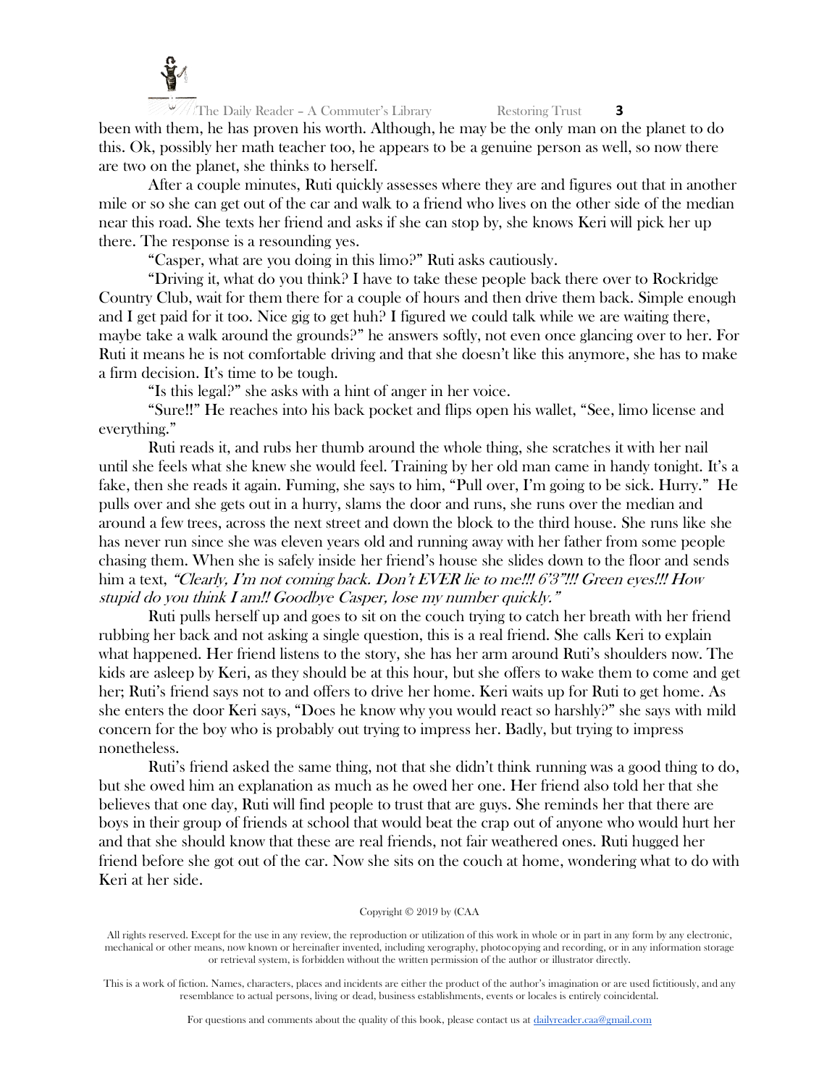

 $\sqrt{\frac{1}{\pi}}$ The Daily Reader – A Commuter's Library Restoring Trust **3** been with them, he has proven his worth. Although, he may be the only man on the planet to do this. Ok, possibly her math teacher too, he appears to be a genuine person as well, so now there are two on the planet, she thinks to herself.

After a couple minutes, Ruti quickly assesses where they are and figures out that in another mile or so she can get out of the car and walk to a friend who lives on the other side of the median near this road. She texts her friend and asks if she can stop by, she knows Keri will pick her up there. The response is a resounding yes.

"Casper, what are you doing in this limo?" Ruti asks cautiously.

"Driving it, what do you think? I have to take these people back there over to Rockridge Country Club, wait for them there for a couple of hours and then drive them back. Simple enough and I get paid for it too. Nice gig to get huh? I figured we could talk while we are waiting there, maybe take a walk around the grounds?" he answers softly, not even once glancing over to her. For Ruti it means he is not comfortable driving and that she doesn't like this anymore, she has to make a firm decision. It's time to be tough.

"Is this legal?" she asks with a hint of anger in her voice.

"Sure!!" He reaches into his back pocket and flips open his wallet, "See, limo license and everything."

Ruti reads it, and rubs her thumb around the whole thing, she scratches it with her nail until she feels what she knew she would feel. Training by her old man came in handy tonight. It's a fake, then she reads it again. Fuming, she says to him, "Pull over, I'm going to be sick. Hurry." He pulls over and she gets out in a hurry, slams the door and runs, she runs over the median and around a few trees, across the next street and down the block to the third house. She runs like she has never run since she was eleven years old and running away with her father from some people chasing them. When she is safely inside her friend's house she slides down to the floor and sends him a text, "Clearly, I'm not coming back. Don't EVER lie to me!!! 6'3"!!! Green eyes!!! How stupid do you think I am!! Goodbye Casper, lose my number quickly."

Ruti pulls herself up and goes to sit on the couch trying to catch her breath with her friend rubbing her back and not asking a single question, this is a real friend. She calls Keri to explain what happened. Her friend listens to the story, she has her arm around Ruti's shoulders now. The kids are asleep by Keri, as they should be at this hour, but she offers to wake them to come and get her; Ruti's friend says not to and offers to drive her home. Keri waits up for Ruti to get home. As she enters the door Keri says, "Does he know why you would react so harshly?" she says with mild concern for the boy who is probably out trying to impress her. Badly, but trying to impress nonetheless.

Ruti's friend asked the same thing, not that she didn't think running was a good thing to do, but she owed him an explanation as much as he owed her one. Her friend also told her that she believes that one day, Ruti will find people to trust that are guys. She reminds her that there are boys in their group of friends at school that would beat the crap out of anyone who would hurt her and that she should know that these are real friends, not fair weathered ones. Ruti hugged her friend before she got out of the car. Now she sits on the couch at home, wondering what to do with Keri at her side.

#### Copyright © 2019 by (CAA

All rights reserved. Except for the use in any review, the reproduction or utilization of this work in whole or in part in any form by any electronic, mechanical or other means, now known or hereinafter invented, including xerography, photocopying and recording, or in any information storage or retrieval system, is forbidden without the written permission of the author or illustrator directly.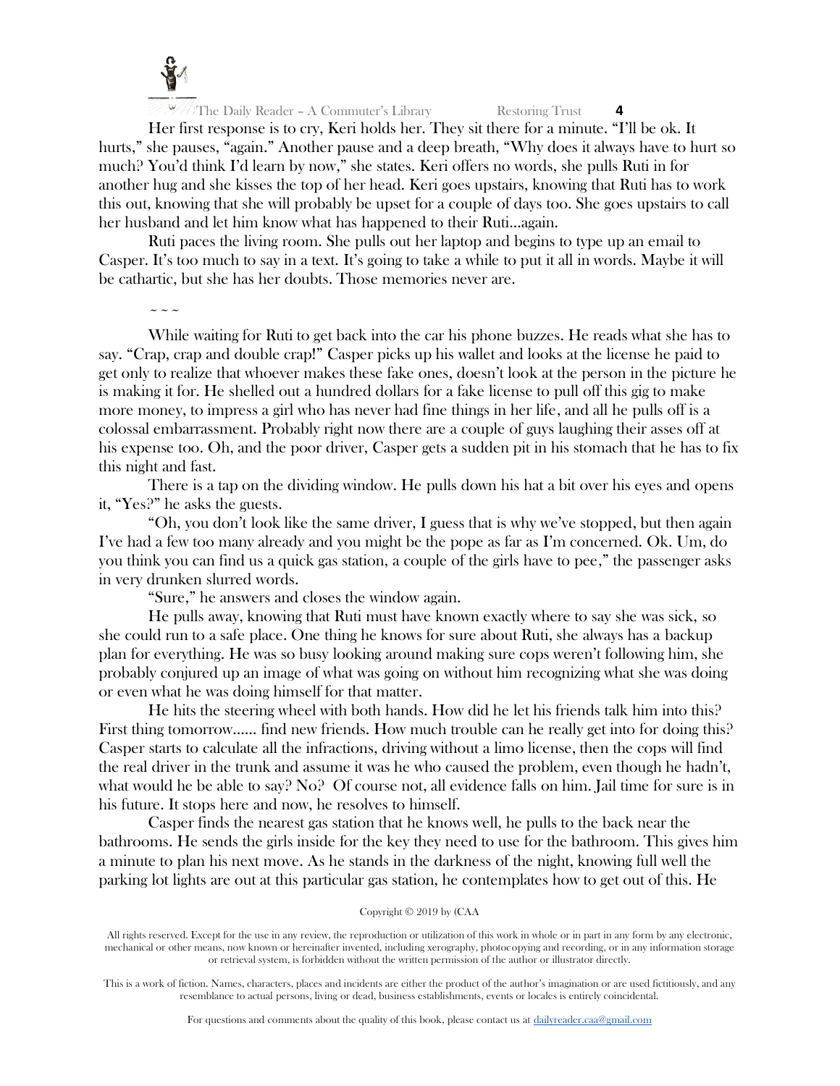

Her first response is to cry, Keri holds her. They sit there for a minute. "I'll be ok. It hurts," she pauses, "again." Another pause and a deep breath, "Why does it always have to hurt so much? You'd think I'd learn by now," she states. Keri offers no words, she pulls Ruti in for another hug and she kisses the top of her head. Keri goes upstairs, knowing that Ruti has to work this out, knowing that she will probably be upset for a couple of days too. She goes upstairs to call her husband and let him know what has happened to their Ruti...again.

Ruti paces the living room. She pulls out her laptop and begins to type up an email to Casper. It's too much to say in a text. It's going to take a while to put it all in words. Maybe it will be cathartic, but she has her doubts. Those memories never are.

 $\sim$   $\sim$   $\sim$ 

While waiting for Ruti to get back into the car his phone buzzes. He reads what she has to say. "Crap, crap and double crap!" Casper picks up his wallet and looks at the license he paid to get only to realize that whoever makes these fake ones, doesn't look at the person in the picture he is making it for. He shelled out a hundred dollars for a fake license to pull off this gig to make more money, to impress a girl who has never had fine things in her life, and all he pulls off is a colossal embarrassment. Probably right now there are a couple of guys laughing their asses off at his expense too. Oh, and the poor driver, Casper gets a sudden pit in his stomach that he has to fix this night and fast.

There is a tap on the dividing window. He pulls down his hat a bit over his eyes and opens it, "Yes?" he asks the guests.

"Oh, you don't look like the same driver, I guess that is why we've stopped, but then again I've had a few too many already and you might be the pope as far as I'm concerned. Ok. Um, do you think you can find us a quick gas station, a couple of the girls have to pee," the passenger asks in very drunken slurred words.

"Sure," he answers and closes the window again.

He pulls away, knowing that Ruti must have known exactly where to say she was sick, so she could run to a safe place. One thing he knows for sure about Ruti, she always has a backup plan for everything. He was so busy looking around making sure cops weren't following him, she probably conjured up an image of what was going on without him recognizing what she was doing or even what he was doing himself for that matter.

He hits the steering wheel with both hands. How did he let his friends talk him into this? First thing tomorrow...... find new friends. How much trouble can he really get into for doing this? Casper starts to calculate all the infractions, driving without a limo license, then the cops will find the real driver in the trunk and assume it was he who caused the problem, even though he hadn't, what would he be able to say? No? Of course not, all evidence falls on him. Jail time for sure is in his future. It stops here and now, he resolves to himself.

Casper finds the nearest gas station that he knows well, he pulls to the back near the bathrooms. He sends the girls inside for the key they need to use for the bathroom. This gives him a minute to plan his next move. As he stands in the darkness of the night, knowing full well the parking lot lights are out at this particular gas station, he contemplates how to get out of this. He

All rights reserved. Except for the use in any review, the reproduction or utilization of this work in whole or in part in any form by any electronic, mechanical or other means, now known or hereinafter invented, including xerography, photocopying and recording, or in any information storage or retrieval system, is forbidden without the written permission of the author or illustrator directly.

This is a work of fiction. Names, characters, places and incidents are either the product of the author's imagination or are used fictitiously, and any resemblance to actual persons, living or dead, business establishments, events or locales is entirely coincidental.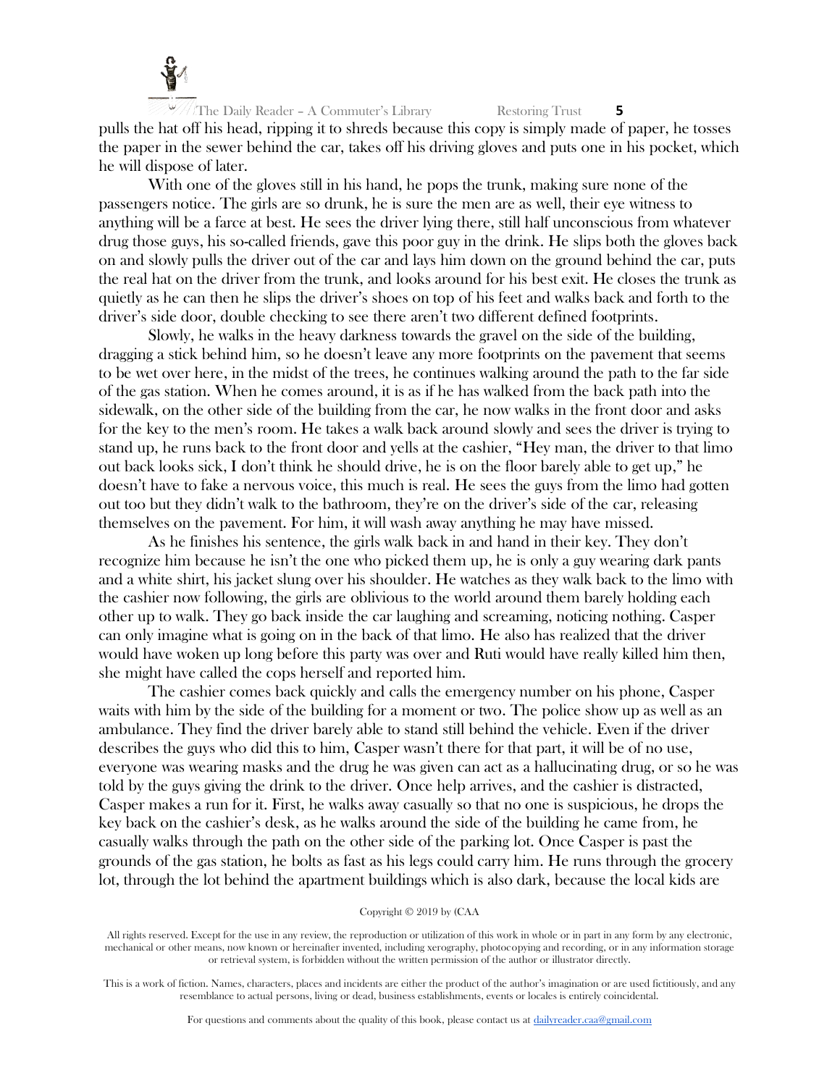

The Daily Reader – A Commuter's Library Restoring Trust **5** pulls the hat off his head, ripping it to shreds because this copy is simply made of paper, he tosses the paper in the sewer behind the car, takes off his driving gloves and puts one in his pocket, which he will dispose of later.

With one of the gloves still in his hand, he pops the trunk, making sure none of the passengers notice. The girls are so drunk, he is sure the men are as well, their eye witness to anything will be a farce at best. He sees the driver lying there, still half unconscious from whatever drug those guys, his so-called friends, gave this poor guy in the drink. He slips both the gloves back on and slowly pulls the driver out of the car and lays him down on the ground behind the car, puts the real hat on the driver from the trunk, and looks around for his best exit. He closes the trunk as quietly as he can then he slips the driver's shoes on top of his feet and walks back and forth to the driver's side door, double checking to see there aren't two different defined footprints.

Slowly, he walks in the heavy darkness towards the gravel on the side of the building, dragging a stick behind him, so he doesn't leave any more footprints on the pavement that seems to be wet over here, in the midst of the trees, he continues walking around the path to the far side of the gas station. When he comes around, it is as if he has walked from the back path into the sidewalk, on the other side of the building from the car, he now walks in the front door and asks for the key to the men's room. He takes a walk back around slowly and sees the driver is trying to stand up, he runs back to the front door and yells at the cashier, "Hey man, the driver to that limo out back looks sick, I don't think he should drive, he is on the floor barely able to get up," he doesn't have to fake a nervous voice, this much is real. He sees the guys from the limo had gotten out too but they didn't walk to the bathroom, they're on the driver's side of the car, releasing themselves on the pavement. For him, it will wash away anything he may have missed.

As he finishes his sentence, the girls walk back in and hand in their key. They don't recognize him because he isn't the one who picked them up, he is only a guy wearing dark pants and a white shirt, his jacket slung over his shoulder. He watches as they walk back to the limo with the cashier now following, the girls are oblivious to the world around them barely holding each other up to walk. They go back inside the car laughing and screaming, noticing nothing. Casper can only imagine what is going on in the back of that limo. He also has realized that the driver would have woken up long before this party was over and Ruti would have really killed him then, she might have called the cops herself and reported him.

The cashier comes back quickly and calls the emergency number on his phone, Casper waits with him by the side of the building for a moment or two. The police show up as well as an ambulance. They find the driver barely able to stand still behind the vehicle. Even if the driver describes the guys who did this to him, Casper wasn't there for that part, it will be of no use, everyone was wearing masks and the drug he was given can act as a hallucinating drug, or so he was told by the guys giving the drink to the driver. Once help arrives, and the cashier is distracted, Casper makes a run for it. First, he walks away casually so that no one is suspicious, he drops the key back on the cashier's desk, as he walks around the side of the building he came from, he casually walks through the path on the other side of the parking lot. Once Casper is past the grounds of the gas station, he bolts as fast as his legs could carry him. He runs through the grocery lot, through the lot behind the apartment buildings which is also dark, because the local kids are

All rights reserved. Except for the use in any review, the reproduction or utilization of this work in whole or in part in any form by any electronic, mechanical or other means, now known or hereinafter invented, including xerography, photocopying and recording, or in any information storage or retrieval system, is forbidden without the written permission of the author or illustrator directly.

This is a work of fiction. Names, characters, places and incidents are either the product of the author's imagination or are used fictitiously, and any resemblance to actual persons, living or dead, business establishments, events or locales is entirely coincidental.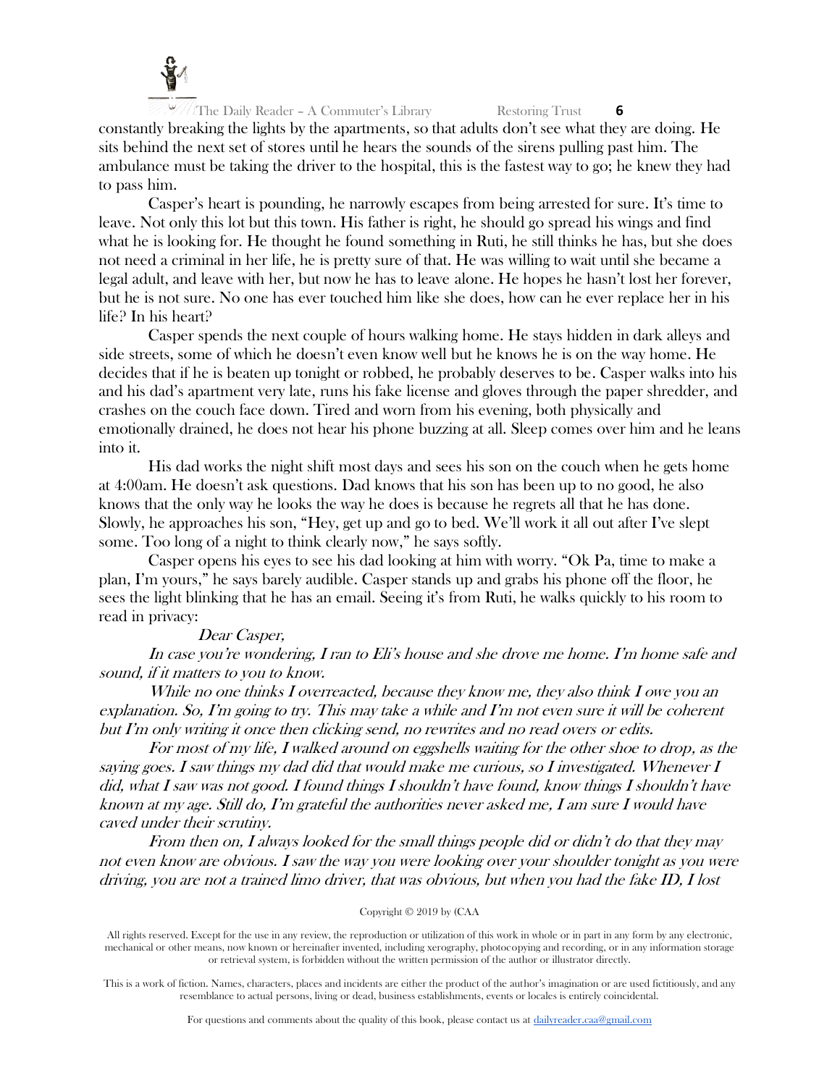

constantly breaking the lights by the apartments, so that adults don't see what they are doing. He sits behind the next set of stores until he hears the sounds of the sirens pulling past him. The ambulance must be taking the driver to the hospital, this is the fastest way to go; he knew they had to pass him.

Casper's heart is pounding, he narrowly escapes from being arrested for sure. It's time to leave. Not only this lot but this town. His father is right, he should go spread his wings and find what he is looking for. He thought he found something in Ruti, he still thinks he has, but she does not need a criminal in her life, he is pretty sure of that. He was willing to wait until she became a legal adult, and leave with her, but now he has to leave alone. He hopes he hasn't lost her forever, but he is not sure. No one has ever touched him like she does, how can he ever replace her in his life? In his heart?

Casper spends the next couple of hours walking home. He stays hidden in dark alleys and side streets, some of which he doesn't even know well but he knows he is on the way home. He decides that if he is beaten up tonight or robbed, he probably deserves to be. Casper walks into his and his dad's apartment very late, runs his fake license and gloves through the paper shredder, and crashes on the couch face down. Tired and worn from his evening, both physically and emotionally drained, he does not hear his phone buzzing at all. Sleep comes over him and he leans into it.

His dad works the night shift most days and sees his son on the couch when he gets home at 4:00am. He doesn't ask questions. Dad knows that his son has been up to no good, he also knows that the only way he looks the way he does is because he regrets all that he has done. Slowly, he approaches his son, "Hey, get up and go to bed. We'll work it all out after I've slept some. Too long of a night to think clearly now," he says softly.

Casper opens his eyes to see his dad looking at him with worry. "Ok Pa, time to make a plan, I'm yours," he says barely audible. Casper stands up and grabs his phone off the floor, he sees the light blinking that he has an email. Seeing it's from Ruti, he walks quickly to his room to read in privacy:

## Dear Casper,

In case you're wondering, I ran to Eli's house and she drove me home. I'm home safe and sound, if it matters to you to know.

While no one thinks I overreacted, because they know me, they also think I owe you an explanation. So, I'm going to try. This may take a while and I'm not even sure it will be coherent but I'm only writing it once then clicking send, no rewrites and no read overs or edits.

For most of my life, I walked around on eggshells waiting for the other shoe to drop, as the saying goes. I saw things my dad did that would make me curious, so I investigated. Whenever I did, what I saw was not good. I found things I shouldn't have found, know things I shouldn't have known at my age. Still do, I'm grateful the authorities never asked me, I am sure I would have caved under their scrutiny.

From then on, I always looked for the small things people did or didn't do that they may not even know are obvious. I saw the way you were looking over your shoulder tonight as you were driving, you are not a trained limo driver, that was obvious, but when you had the fake ID, I lost

## Copyright © 2019 by (CAA

All rights reserved. Except for the use in any review, the reproduction or utilization of this work in whole or in part in any form by any electronic, mechanical or other means, now known or hereinafter invented, including xerography, photocopying and recording, or in any information storage or retrieval system, is forbidden without the written permission of the author or illustrator directly.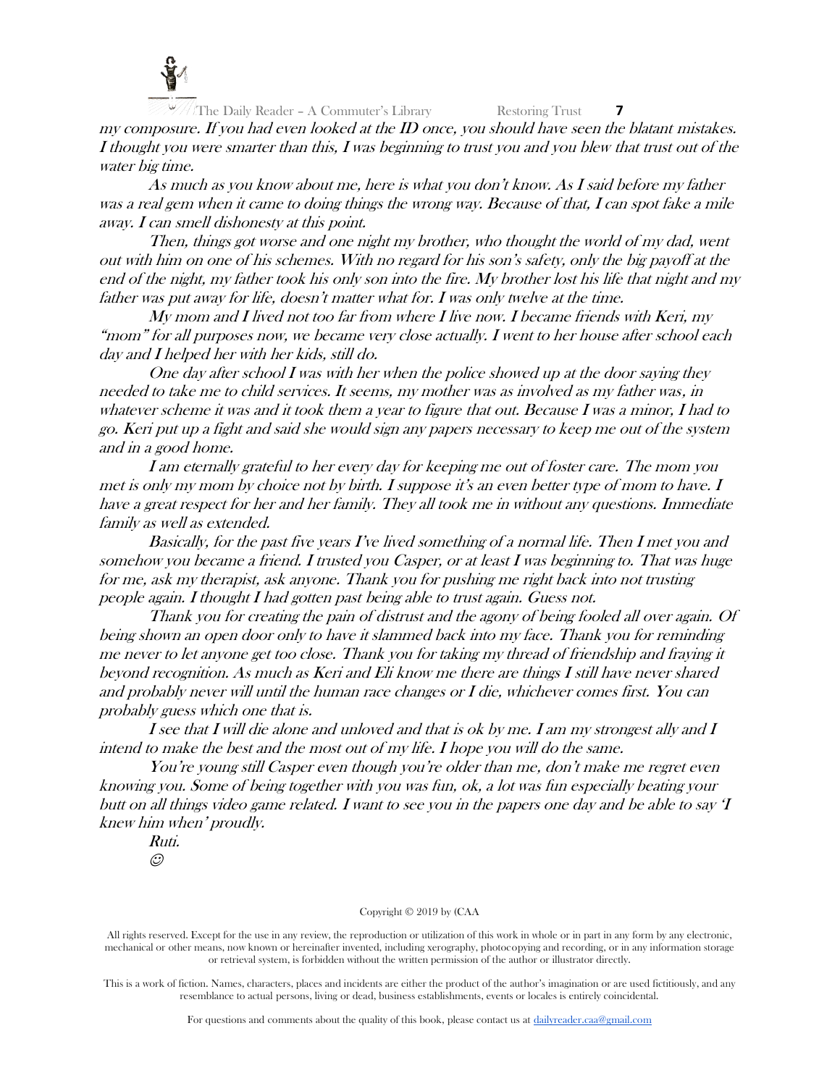

my composure. If you had even looked at the ID once, you should have seen the blatant mistakes. I thought you were smarter than this, I was beginning to trust you and you blew that trust out of the water big time.

As much as you know about me, here is what you don't know. As I said before my father was a real gem when it came to doing things the wrong way. Because of that, I can spot fake a mile away. I can smell dishonesty at this point.

Then, things got worse and one night my brother, who thought the world of my dad, went out with him on one of his schemes. With no regard for his son's safety, only the big payoff at the end of the night, my father took his only son into the fire. My brother lost his life that night and my father was put away for life, doesn't matter what for. I was only twelve at the time.

My mom and I lived not too far from where I live now. I became friends with Keri, my "mom" for all purposes now, we became very close actually. I went to her house after school each day and I helped her with her kids, still do.

One day after school I was with her when the police showed up at the door saying they needed to take me to child services. It seems, my mother was as involved as my father was, in whatever scheme it was and it took them a year to figure that out. Because I was a minor, I had to go. Keri put up a fight and said she would sign any papers necessary to keep me out of the system and in a good home.

I am eternally grateful to her every day for keeping me out of foster care. The mom you met is only my mom by choice not by birth. I suppose it's an even better type of mom to have. I have a great respect for her and her family. They all took me in without any questions. Immediate family as well as extended.

Basically, for the past five years I've lived something of a normal life. Then I met you and somehow you became a friend. I trusted you Casper, or at least I was beginning to. That was huge for me, ask my therapist, ask anyone. Thank you for pushing me right back into not trusting people again. I thought I had gotten past being able to trust again. Guess not.

Thank you for creating the pain of distrust and the agony of being fooled all over again. Of being shown an open door only to have it slammed back into my face. Thank you for reminding me never to let anyone get too close. Thank you for taking my thread of friendship and fraying it beyond recognition. As much as Keri and Eli know me there are things I still have never shared and probably never will until the human race changes or I die, whichever comes first. You can probably guess which one that is.

I see that I will die alone and unloved and that is ok by me. I am my strongest ally and I intend to make the best and the most out of my life. I hope you will do the same.

You're young still Casper even though you're older than me, don't make me regret even knowing you. Some of being together with you was fun, ok, a lot was fun especially beating your butt on all things video game related. I want to see you in the papers one day and be able to say 'I knew him when' proudly.

Ruti.  $\odot$ 

#### Copyright © 2019 by (CAA

All rights reserved. Except for the use in any review, the reproduction or utilization of this work in whole or in part in any form by any electronic, mechanical or other means, now known or hereinafter invented, including xerography, photocopying and recording, or in any information storage or retrieval system, is forbidden without the written permission of the author or illustrator directly.

This is a work of fiction. Names, characters, places and incidents are either the product of the author's imagination or are used fictitiously, and any resemblance to actual persons, living or dead, business establishments, events or locales is entirely coincidental.

For questions and comments about the quality of this book, please contact us at [dailyreader.caa@gmail.com](mailto:dailyreader.caa@gmail.com)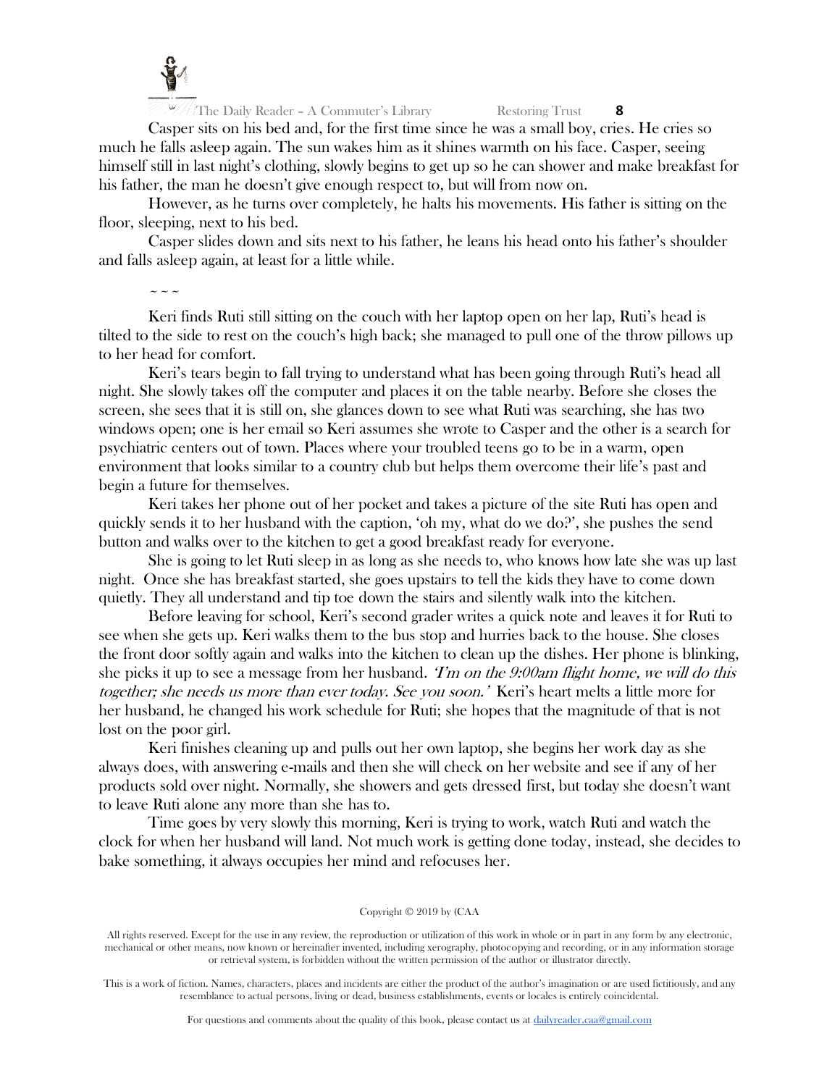

Casper sits on his bed and, for the first time since he was a small boy, cries. He cries so much he falls asleep again. The sun wakes him as it shines warmth on his face. Casper, seeing himself still in last night's clothing, slowly begins to get up so he can shower and make breakfast for his father, the man he doesn't give enough respect to, but will from now on.

However, as he turns over completely, he halts his movements. His father is sitting on the floor, sleeping, next to his bed.

Casper slides down and sits next to his father, he leans his head onto his father's shoulder and falls asleep again, at least for a little while.

 $\sim$   $\sim$   $\sim$ 

Keri finds Ruti still sitting on the couch with her laptop open on her lap, Ruti's head is tilted to the side to rest on the couch's high back; she managed to pull one of the throw pillows up to her head for comfort.

Keri's tears begin to fall trying to understand what has been going through Ruti's head all night. She slowly takes off the computer and places it on the table nearby. Before she closes the screen, she sees that it is still on, she glances down to see what Ruti was searching, she has two windows open; one is her email so Keri assumes she wrote to Casper and the other is a search for psychiatric centers out of town. Places where your troubled teens go to be in a warm, open environment that looks similar to a country club but helps them overcome their life's past and begin a future for themselves.

Keri takes her phone out of her pocket and takes a picture of the site Ruti has open and quickly sends it to her husband with the caption, 'oh my, what do we do?', she pushes the send button and walks over to the kitchen to get a good breakfast ready for everyone.

She is going to let Ruti sleep in as long as she needs to, who knows how late she was up last night. Once she has breakfast started, she goes upstairs to tell the kids they have to come down quietly. They all understand and tip toe down the stairs and silently walk into the kitchen.

Before leaving for school, Keri's second grader writes a quick note and leaves it for Ruti to see when she gets up. Keri walks them to the bus stop and hurries back to the house. She closes the front door softly again and walks into the kitchen to clean up the dishes. Her phone is blinking, she picks it up to see a message from her husband. The on the 9:00am flight home, we will do this together; she needs us more than ever today. See you soon.' Keri's heart melts a little more for her husband, he changed his work schedule for Ruti; she hopes that the magnitude of that is not lost on the poor girl.

Keri finishes cleaning up and pulls out her own laptop, she begins her work day as she always does, with answering e-mails and then she will check on her website and see if any of her products sold over night. Normally, she showers and gets dressed first, but today she doesn't want to leave Ruti alone any more than she has to.

Time goes by very slowly this morning, Keri is trying to work, watch Ruti and watch the clock for when her husband will land. Not much work is getting done today, instead, she decides to bake something, it always occupies her mind and refocuses her.

#### Copyright © 2019 by (CAA

All rights reserved. Except for the use in any review, the reproduction or utilization of this work in whole or in part in any form by any electronic, mechanical or other means, now known or hereinafter invented, including xerography, photocopying and recording, or in any information storage or retrieval system, is forbidden without the written permission of the author or illustrator directly.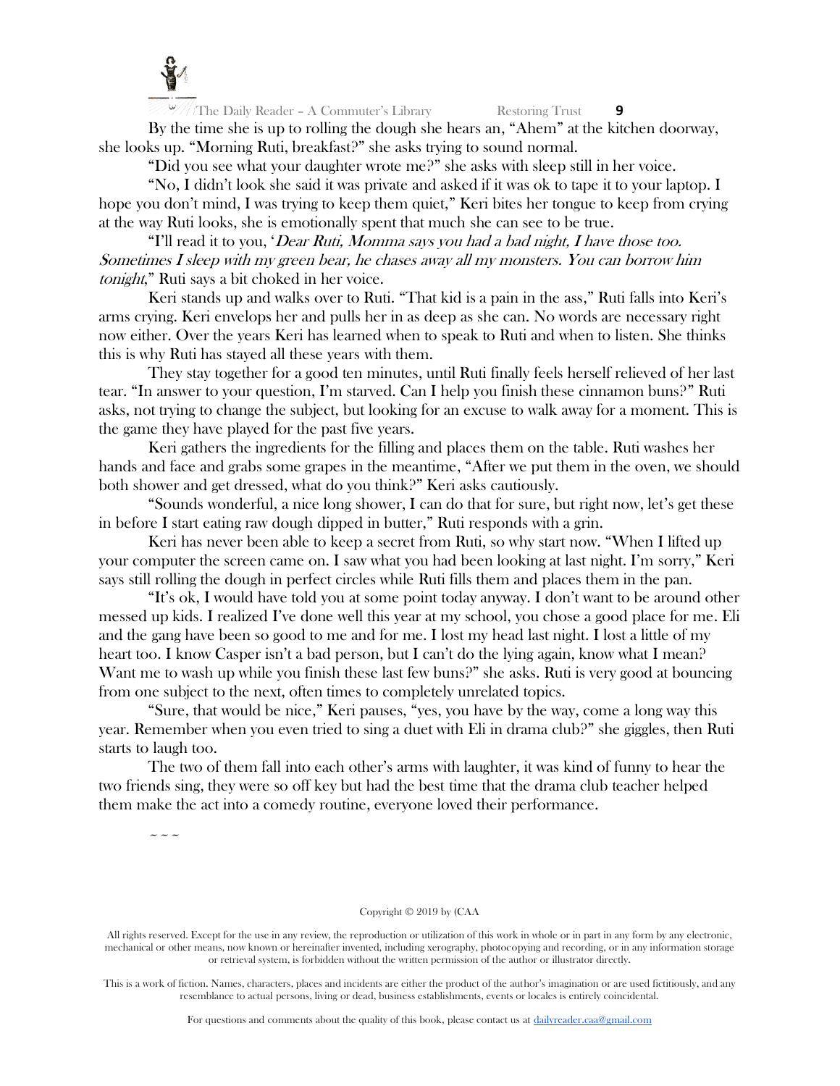

By the time she is up to rolling the dough she hears an, "Ahem" at the kitchen doorway, she looks up. "Morning Ruti, breakfast?" she asks trying to sound normal.

"Did you see what your daughter wrote me?" she asks with sleep still in her voice.

"No, I didn't look she said it was private and asked if it was ok to tape it to your laptop. I hope you don't mind, I was trying to keep them quiet," Keri bites her tongue to keep from crying at the way Ruti looks, she is emotionally spent that much she can see to be true.

"I'll read it to you, 'Dear Ruti, Momma says you had a bad night, I have those too. Sometimes I sleep with my green bear, he chases away all my monsters. You can borrow him tonight," Ruti says a bit choked in her voice.

Keri stands up and walks over to Ruti. "That kid is a pain in the ass," Ruti falls into Keri's arms crying. Keri envelops her and pulls her in as deep as she can. No words are necessary right now either. Over the years Keri has learned when to speak to Ruti and when to listen. She thinks this is why Ruti has stayed all these years with them.

They stay together for a good ten minutes, until Ruti finally feels herself relieved of her last tear. "In answer to your question, I'm starved. Can I help you finish these cinnamon buns?" Ruti asks, not trying to change the subject, but looking for an excuse to walk away for a moment. This is the game they have played for the past five years.

Keri gathers the ingredients for the filling and places them on the table. Ruti washes her hands and face and grabs some grapes in the meantime, "After we put them in the oven, we should both shower and get dressed, what do you think?" Keri asks cautiously.

"Sounds wonderful, a nice long shower, I can do that for sure, but right now, let's get these in before I start eating raw dough dipped in butter," Ruti responds with a grin.

Keri has never been able to keep a secret from Ruti, so why start now. "When I lifted up your computer the screen came on. I saw what you had been looking at last night. I'm sorry," Keri says still rolling the dough in perfect circles while Ruti fills them and places them in the pan.

"It's ok, I would have told you at some point today anyway. I don't want to be around other messed up kids. I realized I've done well this year at my school, you chose a good place for me. Eli and the gang have been so good to me and for me. I lost my head last night. I lost a little of my heart too. I know Casper isn't a bad person, but I can't do the lying again, know what I mean? Want me to wash up while you finish these last few buns?" she asks. Ruti is very good at bouncing from one subject to the next, often times to completely unrelated topics.

"Sure, that would be nice," Keri pauses, "yes, you have by the way, come a long way this year. Remember when you even tried to sing a duet with Eli in drama club?" she giggles, then Ruti starts to laugh too.

The two of them fall into each other's arms with laughter, it was kind of funny to hear the two friends sing, they were so off key but had the best time that the drama club teacher helped them make the act into a comedy routine, everyone loved their performance.

 $\sim$   $\sim$   $\sim$ 

Copyright © 2019 by (CAA

All rights reserved. Except for the use in any review, the reproduction or utilization of this work in whole or in part in any form by any electronic, mechanical or other means, now known or hereinafter invented, including xerography, photocopying and recording, or in any information storage or retrieval system, is forbidden without the written permission of the author or illustrator directly.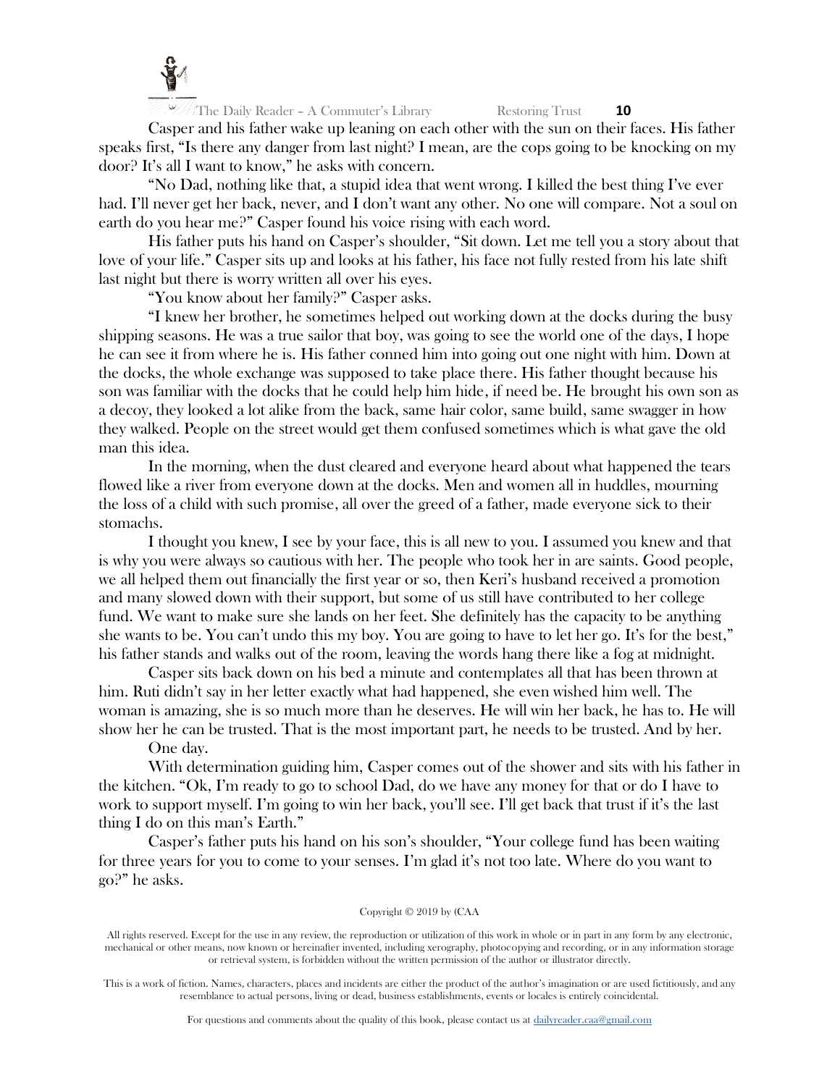

Casper and his father wake up leaning on each other with the sun on their faces. His father speaks first, "Is there any danger from last night? I mean, are the cops going to be knocking on my door? It's all I want to know," he asks with concern.

"No Dad, nothing like that, a stupid idea that went wrong. I killed the best thing I've ever had. I'll never get her back, never, and I don't want any other. No one will compare. Not a soul on earth do you hear me?" Casper found his voice rising with each word.

His father puts his hand on Casper's shoulder, "Sit down. Let me tell you a story about that love of your life." Casper sits up and looks at his father, his face not fully rested from his late shift last night but there is worry written all over his eyes.

"You know about her family?" Casper asks.

"I knew her brother, he sometimes helped out working down at the docks during the busy shipping seasons. He was a true sailor that boy, was going to see the world one of the days, I hope he can see it from where he is. His father conned him into going out one night with him. Down at the docks, the whole exchange was supposed to take place there. His father thought because his son was familiar with the docks that he could help him hide, if need be. He brought his own son as a decoy, they looked a lot alike from the back, same hair color, same build, same swagger in how they walked. People on the street would get them confused sometimes which is what gave the old man this idea.

In the morning, when the dust cleared and everyone heard about what happened the tears flowed like a river from everyone down at the docks. Men and women all in huddles, mourning the loss of a child with such promise, all over the greed of a father, made everyone sick to their stomachs.

I thought you knew, I see by your face, this is all new to you. I assumed you knew and that is why you were always so cautious with her. The people who took her in are saints. Good people, we all helped them out financially the first year or so, then Keri's husband received a promotion and many slowed down with their support, but some of us still have contributed to her college fund. We want to make sure she lands on her feet. She definitely has the capacity to be anything she wants to be. You can't undo this my boy. You are going to have to let her go. It's for the best," his father stands and walks out of the room, leaving the words hang there like a fog at midnight.

Casper sits back down on his bed a minute and contemplates all that has been thrown at him. Ruti didn't say in her letter exactly what had happened, she even wished him well. The woman is amazing, she is so much more than he deserves. He will win her back, he has to. He will show her he can be trusted. That is the most important part, he needs to be trusted. And by her.

One day.

With determination guiding him, Casper comes out of the shower and sits with his father in the kitchen. "Ok, I'm ready to go to school Dad, do we have any money for that or do I have to work to support myself. I'm going to win her back, you'll see. I'll get back that trust if it's the last thing I do on this man's Earth."

Casper's father puts his hand on his son's shoulder, "Your college fund has been waiting for three years for you to come to your senses. I'm glad it's not too late. Where do you want to go?" he asks.

#### Copyright © 2019 by (CAA

All rights reserved. Except for the use in any review, the reproduction or utilization of this work in whole or in part in any form by any electronic, mechanical or other means, now known or hereinafter invented, including xerography, photocopying and recording, or in any information storage or retrieval system, is forbidden without the written permission of the author or illustrator directly.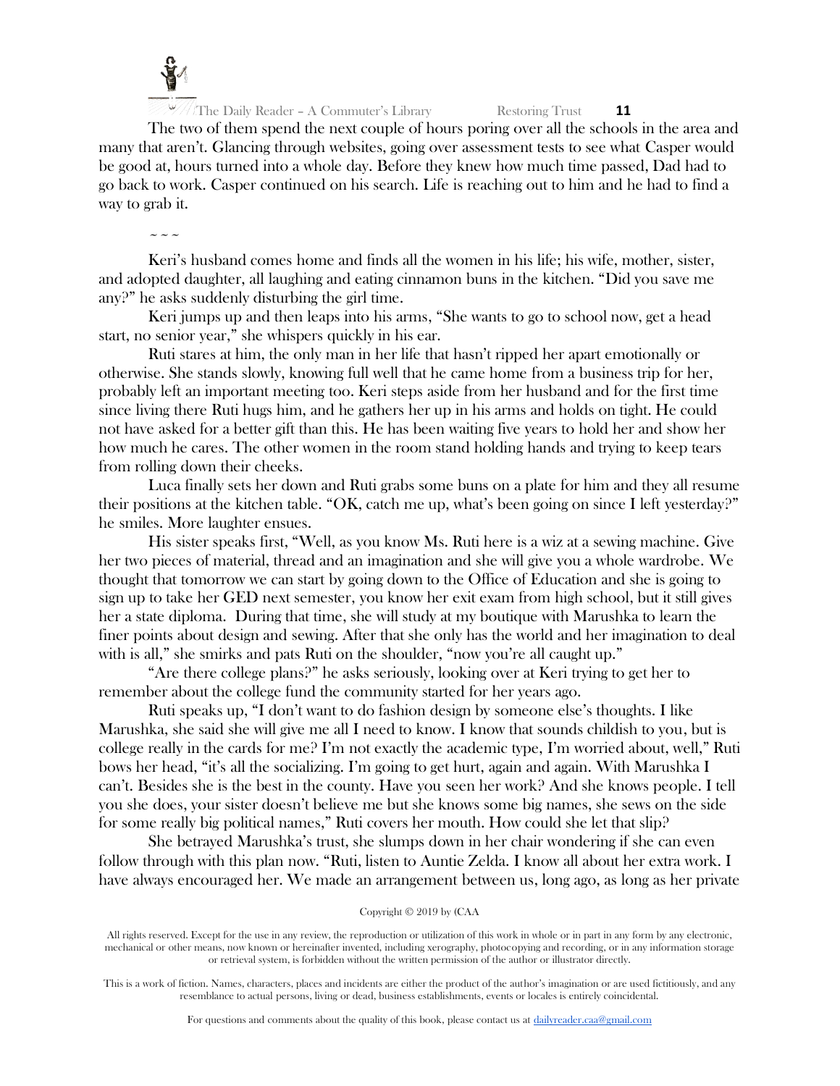

The two of them spend the next couple of hours poring over all the schools in the area and many that aren't. Glancing through websites, going over assessment tests to see what Casper would be good at, hours turned into a whole day. Before they knew how much time passed, Dad had to go back to work. Casper continued on his search. Life is reaching out to him and he had to find a way to grab it.

~~~

Keri's husband comes home and finds all the women in his life; his wife, mother, sister, and adopted daughter, all laughing and eating cinnamon buns in the kitchen. "Did you save me any?" he asks suddenly disturbing the girl time.

Keri jumps up and then leaps into his arms, "She wants to go to school now, get a head start, no senior year," she whispers quickly in his ear.

Ruti stares at him, the only man in her life that hasn't ripped her apart emotionally or otherwise. She stands slowly, knowing full well that he came home from a business trip for her, probably left an important meeting too. Keri steps aside from her husband and for the first time since living there Ruti hugs him, and he gathers her up in his arms and holds on tight. He could not have asked for a better gift than this. He has been waiting five years to hold her and show her how much he cares. The other women in the room stand holding hands and trying to keep tears from rolling down their cheeks.

Luca finally sets her down and Ruti grabs some buns on a plate for him and they all resume their positions at the kitchen table. "OK, catch me up, what's been going on since I left yesterday?" he smiles. More laughter ensues.

His sister speaks first, "Well, as you know Ms. Ruti here is a wiz at a sewing machine. Give her two pieces of material, thread and an imagination and she will give you a whole wardrobe. We thought that tomorrow we can start by going down to the Office of Education and she is going to sign up to take her GED next semester, you know her exit exam from high school, but it still gives her a state diploma. During that time, she will study at my boutique with Marushka to learn the finer points about design and sewing. After that she only has the world and her imagination to deal with is all," she smirks and pats Ruti on the shoulder, "now you're all caught up."

"Are there college plans?" he asks seriously, looking over at Keri trying to get her to remember about the college fund the community started for her years ago.

Ruti speaks up, "I don't want to do fashion design by someone else's thoughts. I like Marushka, she said she will give me all I need to know. I know that sounds childish to you, but is college really in the cards for me? I'm not exactly the academic type, I'm worried about, well," Ruti bows her head, "it's all the socializing. I'm going to get hurt, again and again. With Marushka I can't. Besides she is the best in the county. Have you seen her work? And she knows people. I tell you she does, your sister doesn't believe me but she knows some big names, she sews on the side for some really big political names," Ruti covers her mouth. How could she let that slip?

She betrayed Marushka's trust, she slumps down in her chair wondering if she can even follow through with this plan now. "Ruti, listen to Auntie Zelda. I know all about her extra work. I have always encouraged her. We made an arrangement between us, long ago, as long as her private

All rights reserved. Except for the use in any review, the reproduction or utilization of this work in whole or in part in any form by any electronic, mechanical or other means, now known or hereinafter invented, including xerography, photocopying and recording, or in any information storage or retrieval system, is forbidden without the written permission of the author or illustrator directly.

This is a work of fiction. Names, characters, places and incidents are either the product of the author's imagination or are used fictitiously, and any resemblance to actual persons, living or dead, business establishments, events or locales is entirely coincidental.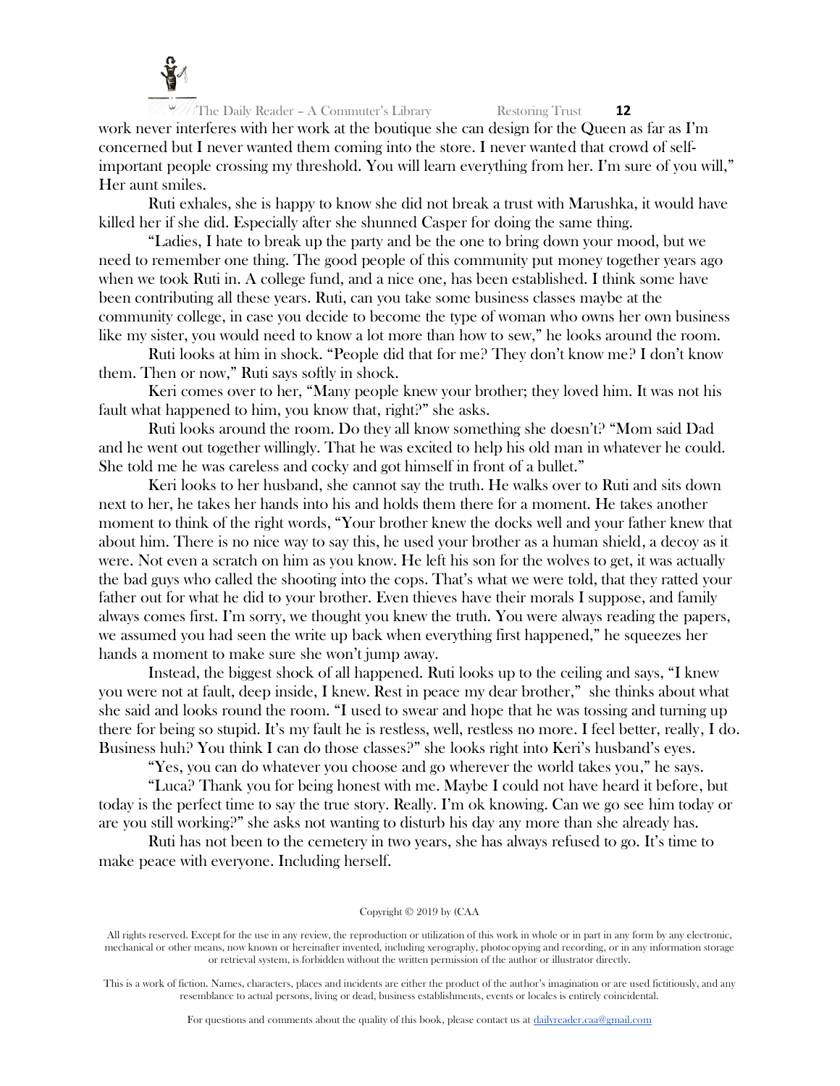

work never interferes with her work at the boutique she can design for the Queen as far as I'm concerned but I never wanted them coming into the store. I never wanted that crowd of selfimportant people crossing my threshold. You will learn everything from her. I'm sure of you will," Her aunt smiles.

Ruti exhales, she is happy to know she did not break a trust with Marushka, it would have killed her if she did. Especially after she shunned Casper for doing the same thing.

"Ladies, I hate to break up the party and be the one to bring down your mood, but we need to remember one thing. The good people of this community put money together years ago when we took Ruti in. A college fund, and a nice one, has been established. I think some have been contributing all these years. Ruti, can you take some business classes maybe at the community college, in case you decide to become the type of woman who owns her own business like my sister, you would need to know a lot more than how to sew," he looks around the room.

Ruti looks at him in shock. "People did that for me? They don't know me? I don't know them. Then or now," Ruti says softly in shock.

Keri comes over to her, "Many people knew your brother; they loved him. It was not his fault what happened to him, you know that, right?" she asks.

Ruti looks around the room. Do they all know something she doesn't? "Mom said Dad and he went out together willingly. That he was excited to help his old man in whatever he could. She told me he was careless and cocky and got himself in front of a bullet."

Keri looks to her husband, she cannot say the truth. He walks over to Ruti and sits down next to her, he takes her hands into his and holds them there for a moment. He takes another moment to think of the right words, "Your brother knew the docks well and your father knew that about him. There is no nice way to say this, he used your brother as a human shield, a decoy as it were. Not even a scratch on him as you know. He left his son for the wolves to get, it was actually the bad guys who called the shooting into the cops. That's what we were told, that they ratted your father out for what he did to your brother. Even thieves have their morals I suppose, and family always comes first. I'm sorry, we thought you knew the truth. You were always reading the papers, we assumed you had seen the write up back when everything first happened," he squeezes her hands a moment to make sure she won't jump away.

Instead, the biggest shock of all happened. Ruti looks up to the ceiling and says, "I knew you were not at fault, deep inside, I knew. Rest in peace my dear brother," she thinks about what she said and looks round the room. "I used to swear and hope that he was tossing and turning up there for being so stupid. It's my fault he is restless, well, restless no more. I feel better, really, I do. Business huh? You think I can do those classes?" she looks right into Keri's husband's eyes.

"Yes, you can do whatever you choose and go wherever the world takes you," he says.

"Luca? Thank you for being honest with me. Maybe I could not have heard it before, but today is the perfect time to say the true story. Really. I'm ok knowing. Can we go see him today or are you still working?" she asks not wanting to disturb his day any more than she already has.

Ruti has not been to the cemetery in two years, she has always refused to go. It's time to make peace with everyone. Including herself.

#### Copyright © 2019 by (CAA

All rights reserved. Except for the use in any review, the reproduction or utilization of this work in whole or in part in any form by any electronic, mechanical or other means, now known or hereinafter invented, including xerography, photocopying and recording, or in any information storage or retrieval system, is forbidden without the written permission of the author or illustrator directly.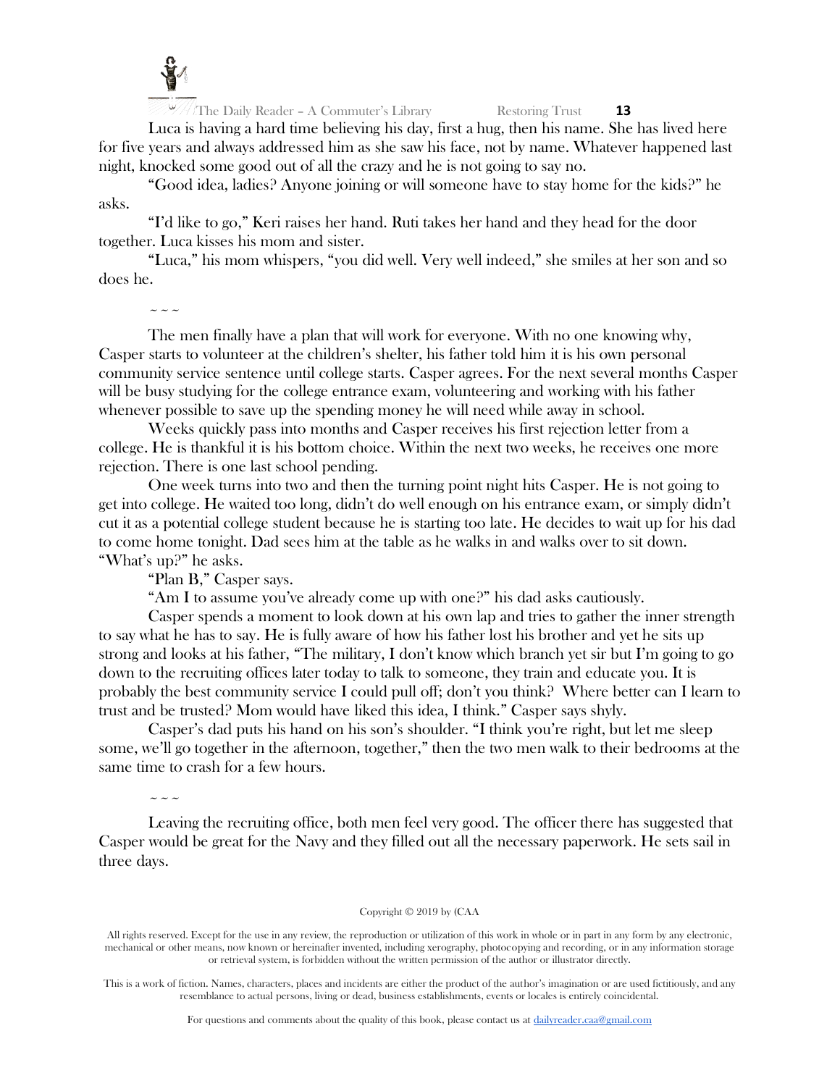

 $\sqrt{\frac{1}{\pi}}$  The Daily Reader – A Commuter's Library Restoring Trust **13** 

Luca is having a hard time believing his day, first a hug, then his name. She has lived here for five years and always addressed him as she saw his face, not by name. Whatever happened last night, knocked some good out of all the crazy and he is not going to say no.

"Good idea, ladies? Anyone joining or will someone have to stay home for the kids?" he asks.

"I'd like to go," Keri raises her hand. Ruti takes her hand and they head for the door together. Luca kisses his mom and sister.

"Luca," his mom whispers, "you did well. Very well indeed," she smiles at her son and so does he.

~~~

The men finally have a plan that will work for everyone. With no one knowing why, Casper starts to volunteer at the children's shelter, his father told him it is his own personal community service sentence until college starts. Casper agrees. For the next several months Casper will be busy studying for the college entrance exam, volunteering and working with his father whenever possible to save up the spending money he will need while away in school.

Weeks quickly pass into months and Casper receives his first rejection letter from a college. He is thankful it is his bottom choice. Within the next two weeks, he receives one more rejection. There is one last school pending.

One week turns into two and then the turning point night hits Casper. He is not going to get into college. He waited too long, didn't do well enough on his entrance exam, or simply didn't cut it as a potential college student because he is starting too late. He decides to wait up for his dad to come home tonight. Dad sees him at the table as he walks in and walks over to sit down. "What's up?" he asks.

"Plan B," Casper says.

"Am I to assume you've already come up with one?" his dad asks cautiously.

Casper spends a moment to look down at his own lap and tries to gather the inner strength to say what he has to say. He is fully aware of how his father lost his brother and yet he sits up strong and looks at his father, "The military, I don't know which branch yet sir but I'm going to go down to the recruiting offices later today to talk to someone, they train and educate you. It is probably the best community service I could pull off; don't you think? Where better can I learn to trust and be trusted? Mom would have liked this idea, I think." Casper says shyly.

Casper's dad puts his hand on his son's shoulder. "I think you're right, but let me sleep some, we'll go together in the afternoon, together," then the two men walk to their bedrooms at the same time to crash for a few hours.

 $\sim$   $\sim$   $\sim$ 

Leaving the recruiting office, both men feel very good. The officer there has suggested that Casper would be great for the Navy and they filled out all the necessary paperwork. He sets sail in three days.

## Copyright © 2019 by (CAA

All rights reserved. Except for the use in any review, the reproduction or utilization of this work in whole or in part in any form by any electronic, mechanical or other means, now known or hereinafter invented, including xerography, photocopying and recording, or in any information storage or retrieval system, is forbidden without the written permission of the author or illustrator directly.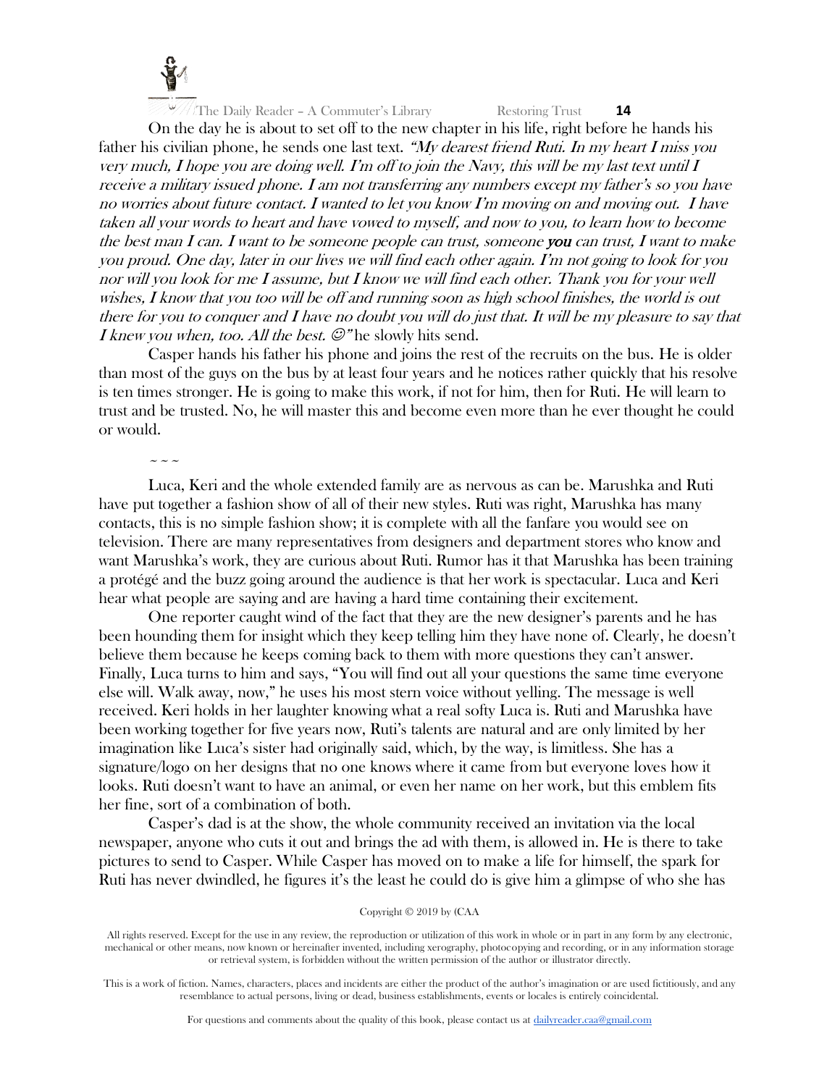

On the day he is about to set off to the new chapter in his life, right before he hands his father his civilian phone, he sends one last text. "My dearest friend Ruti. In my heart I miss you very much, I hope you are doing well. I'm off to join the Navy, this will be my last text until I receive a military issued phone. I am not transferring any numbers except my father's so you have no worries about future contact. I wanted to let you know I'm moving on and moving out. I have taken all your words to heart and have vowed to myself, and now to you, to learn how to become the best man I can. I want to be someone people can trust, someone you can trust, I want to make you proud. One day, later in our lives we will find each other again. I'm not going to look for you nor will you look for me I assume, but I know we will find each other. Thank you for your well wishes, I know that you too will be off and running soon as high school finishes, the world is out there for you to conquer and I have no doubt you will do just that. It will be my pleasure to say that *I knew you when, too. All the best.*  $\mathcal{Q}^n$  he slowly hits send.

Casper hands his father his phone and joins the rest of the recruits on the bus. He is older than most of the guys on the bus by at least four years and he notices rather quickly that his resolve is ten times stronger. He is going to make this work, if not for him, then for Ruti. He will learn to trust and be trusted. No, he will master this and become even more than he ever thought he could or would.

 $\sim$   $\sim$   $\sim$ 

Luca, Keri and the whole extended family are as nervous as can be. Marushka and Ruti have put together a fashion show of all of their new styles. Ruti was right, Marushka has many contacts, this is no simple fashion show; it is complete with all the fanfare you would see on television. There are many representatives from designers and department stores who know and want Marushka's work, they are curious about Ruti. Rumor has it that Marushka has been training a protégé and the buzz going around the audience is that her work is spectacular. Luca and Keri hear what people are saying and are having a hard time containing their excitement.

One reporter caught wind of the fact that they are the new designer's parents and he has been hounding them for insight which they keep telling him they have none of. Clearly, he doesn't believe them because he keeps coming back to them with more questions they can't answer. Finally, Luca turns to him and says, "You will find out all your questions the same time everyone else will. Walk away, now," he uses his most stern voice without yelling. The message is well received. Keri holds in her laughter knowing what a real softy Luca is. Ruti and Marushka have been working together for five years now, Ruti's talents are natural and are only limited by her imagination like Luca's sister had originally said, which, by the way, is limitless. She has a signature/logo on her designs that no one knows where it came from but everyone loves how it looks. Ruti doesn't want to have an animal, or even her name on her work, but this emblem fits her fine, sort of a combination of both.

Casper's dad is at the show, the whole community received an invitation via the local newspaper, anyone who cuts it out and brings the ad with them, is allowed in. He is there to take pictures to send to Casper. While Casper has moved on to make a life for himself, the spark for Ruti has never dwindled, he figures it's the least he could do is give him a glimpse of who she has

All rights reserved. Except for the use in any review, the reproduction or utilization of this work in whole or in part in any form by any electronic, mechanical or other means, now known or hereinafter invented, including xerography, photocopying and recording, or in any information storage or retrieval system, is forbidden without the written permission of the author or illustrator directly.

This is a work of fiction. Names, characters, places and incidents are either the product of the author's imagination or are used fictitiously, and any resemblance to actual persons, living or dead, business establishments, events or locales is entirely coincidental.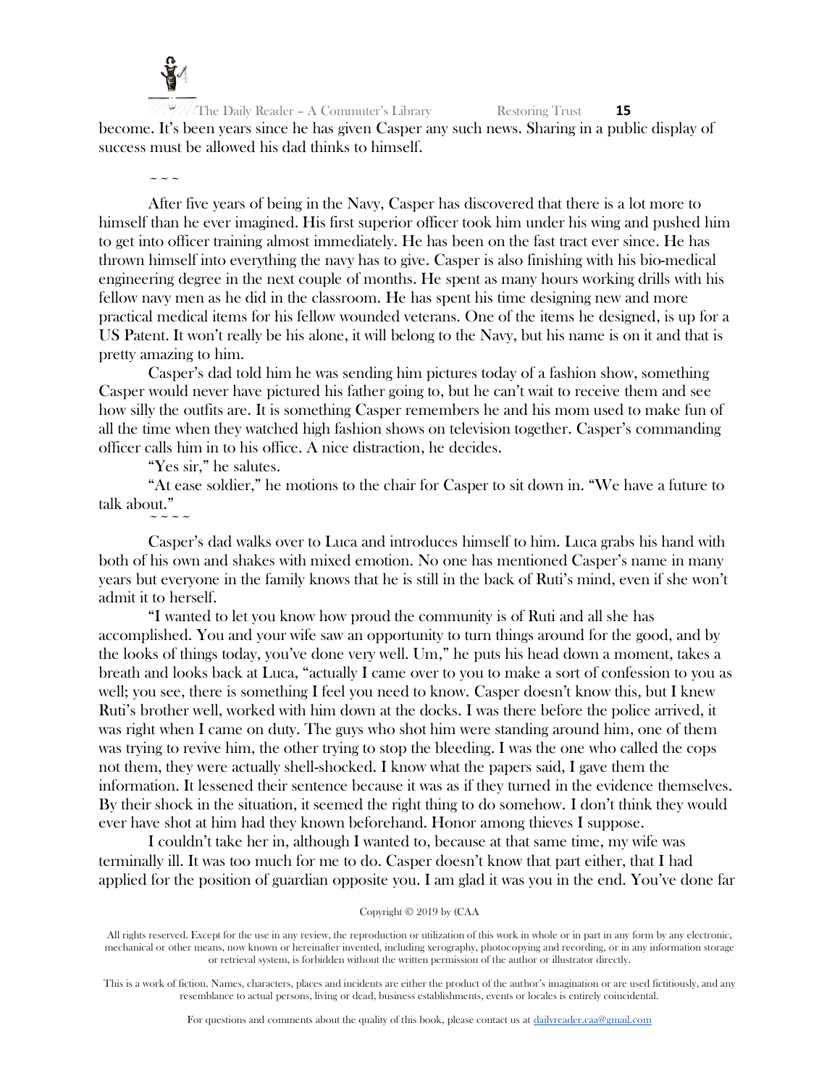

The Daily Reader – A Commuter's Library Restoring Trust **15** become. It's been years since he has given Casper any such news. Sharing in a public display of success must be allowed his dad thinks to himself.

 $\sim$   $\sim$   $\sim$ 

After five years of being in the Navy, Casper has discovered that there is a lot more to himself than he ever imagined. His first superior officer took him under his wing and pushed him to get into officer training almost immediately. He has been on the fast tract ever since. He has thrown himself into everything the navy has to give. Casper is also finishing with his bio-medical engineering degree in the next couple of months. He spent as many hours working drills with his fellow navy men as he did in the classroom. He has spent his time designing new and more practical medical items for his fellow wounded veterans. One of the items he designed, is up for a US Patent. It won't really be his alone, it will belong to the Navy, but his name is on it and that is pretty amazing to him.

Casper's dad told him he was sending him pictures today of a fashion show, something Casper would never have pictured his father going to, but he can't wait to receive them and see how silly the outfits are. It is something Casper remembers he and his mom used to make fun of all the time when they watched high fashion shows on television together. Casper's commanding officer calls him in to his office. A nice distraction, he decides.

"Yes sir," he salutes.

 $\sim$   $\sim$   $\sim$   $\sim$ 

"At ease soldier," he motions to the chair for Casper to sit down in. "We have a future to talk about."

Casper's dad walks over to Luca and introduces himself to him. Luca grabs his hand with both of his own and shakes with mixed emotion. No one has mentioned Casper's name in many years but everyone in the family knows that he is still in the back of Ruti's mind, even if she won't admit it to herself.

"I wanted to let you know how proud the community is of Ruti and all she has accomplished. You and your wife saw an opportunity to turn things around for the good, and by the looks of things today, you've done very well. Um," he puts his head down a moment, takes a breath and looks back at Luca, "actually I came over to you to make a sort of confession to you as well; you see, there is something I feel you need to know. Casper doesn't know this, but I knew Ruti's brother well, worked with him down at the docks. I was there before the police arrived, it was right when I came on duty. The guys who shot him were standing around him, one of them was trying to revive him, the other trying to stop the bleeding. I was the one who called the cops not them, they were actually shell-shocked. I know what the papers said, I gave them the information. It lessened their sentence because it was as if they turned in the evidence themselves. By their shock in the situation, it seemed the right thing to do somehow. I don't think they would ever have shot at him had they known beforehand. Honor among thieves I suppose.

I couldn't take her in, although I wanted to, because at that same time, my wife was terminally ill. It was too much for me to do. Casper doesn't know that part either, that I had applied for the position of guardian opposite you. I am glad it was you in the end. You've done far

All rights reserved. Except for the use in any review, the reproduction or utilization of this work in whole or in part in any form by any electronic, mechanical or other means, now known or hereinafter invented, including xerography, photocopying and recording, or in any information storage or retrieval system, is forbidden without the written permission of the author or illustrator directly.

This is a work of fiction. Names, characters, places and incidents are either the product of the author's imagination or are used fictitiously, and any resemblance to actual persons, living or dead, business establishments, events or locales is entirely coincidental.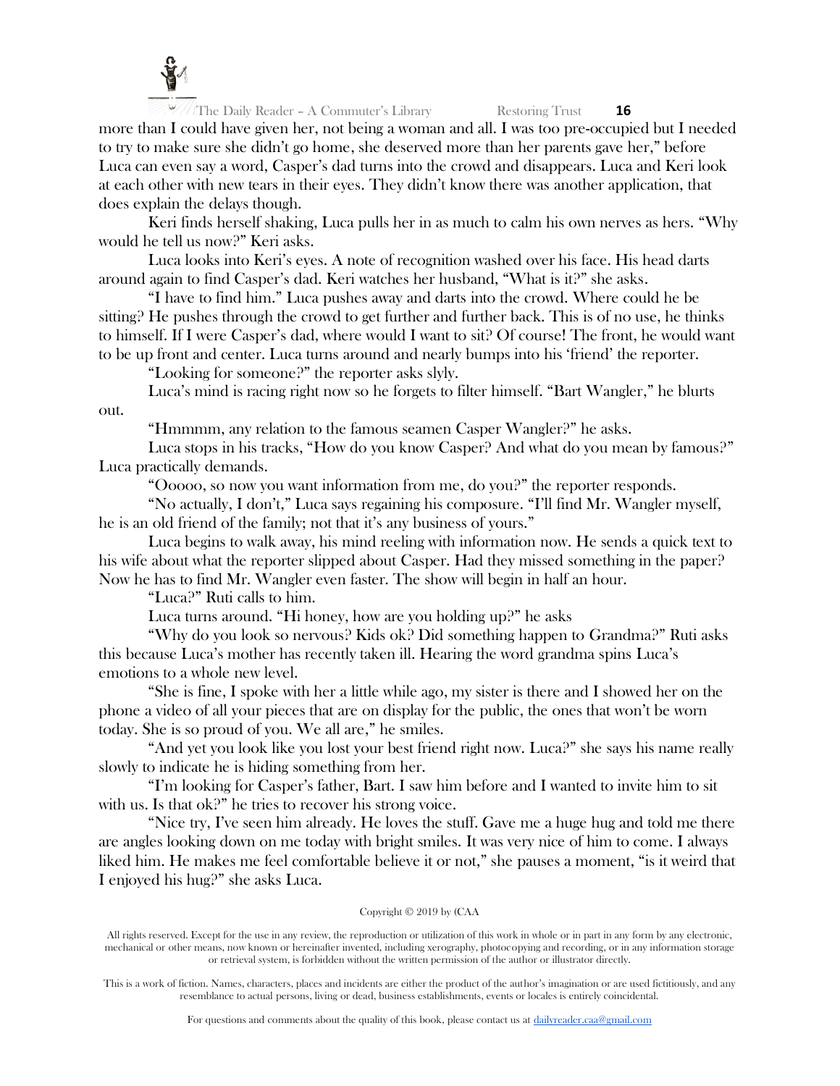

more than I could have given her, not being a woman and all. I was too pre-occupied but I needed to try to make sure she didn't go home, she deserved more than her parents gave her," before Luca can even say a word, Casper's dad turns into the crowd and disappears. Luca and Keri look at each other with new tears in their eyes. They didn't know there was another application, that does explain the delays though.

Keri finds herself shaking, Luca pulls her in as much to calm his own nerves as hers. "Why would he tell us now?" Keri asks.

Luca looks into Keri's eyes. A note of recognition washed over his face. His head darts around again to find Casper's dad. Keri watches her husband, "What is it?" she asks.

"I have to find him." Luca pushes away and darts into the crowd. Where could he be sitting? He pushes through the crowd to get further and further back. This is of no use, he thinks to himself. If I were Casper's dad, where would I want to sit? Of course! The front, he would want to be up front and center. Luca turns around and nearly bumps into his 'friend' the reporter.

"Looking for someone?" the reporter asks slyly.

Luca's mind is racing right now so he forgets to filter himself. "Bart Wangler," he blurts out.

"Hmmmm, any relation to the famous seamen Casper Wangler?" he asks.

Luca stops in his tracks, "How do you know Casper? And what do you mean by famous?" Luca practically demands.

"Ooooo, so now you want information from me, do you?" the reporter responds.

"No actually, I don't," Luca says regaining his composure. "I'll find Mr. Wangler myself, he is an old friend of the family; not that it's any business of yours."

Luca begins to walk away, his mind reeling with information now. He sends a quick text to his wife about what the reporter slipped about Casper. Had they missed something in the paper? Now he has to find Mr. Wangler even faster. The show will begin in half an hour.

"Luca?" Ruti calls to him.

Luca turns around. "Hi honey, how are you holding up?" he asks

"Why do you look so nervous? Kids ok? Did something happen to Grandma?" Ruti asks this because Luca's mother has recently taken ill. Hearing the word grandma spins Luca's emotions to a whole new level.

"She is fine, I spoke with her a little while ago, my sister is there and I showed her on the phone a video of all your pieces that are on display for the public, the ones that won't be worn today. She is so proud of you. We all are," he smiles.

"And yet you look like you lost your best friend right now. Luca?" she says his name really slowly to indicate he is hiding something from her.

"I'm looking for Casper's father, Bart. I saw him before and I wanted to invite him to sit with us. Is that ok?" he tries to recover his strong voice.

"Nice try, I've seen him already. He loves the stuff. Gave me a huge hug and told me there are angles looking down on me today with bright smiles. It was very nice of him to come. I always liked him. He makes me feel comfortable believe it or not," she pauses a moment, "is it weird that I enjoyed his hug?" she asks Luca.

## Copyright © 2019 by (CAA

All rights reserved. Except for the use in any review, the reproduction or utilization of this work in whole or in part in any form by any electronic, mechanical or other means, now known or hereinafter invented, including xerography, photocopying and recording, or in any information storage or retrieval system, is forbidden without the written permission of the author or illustrator directly.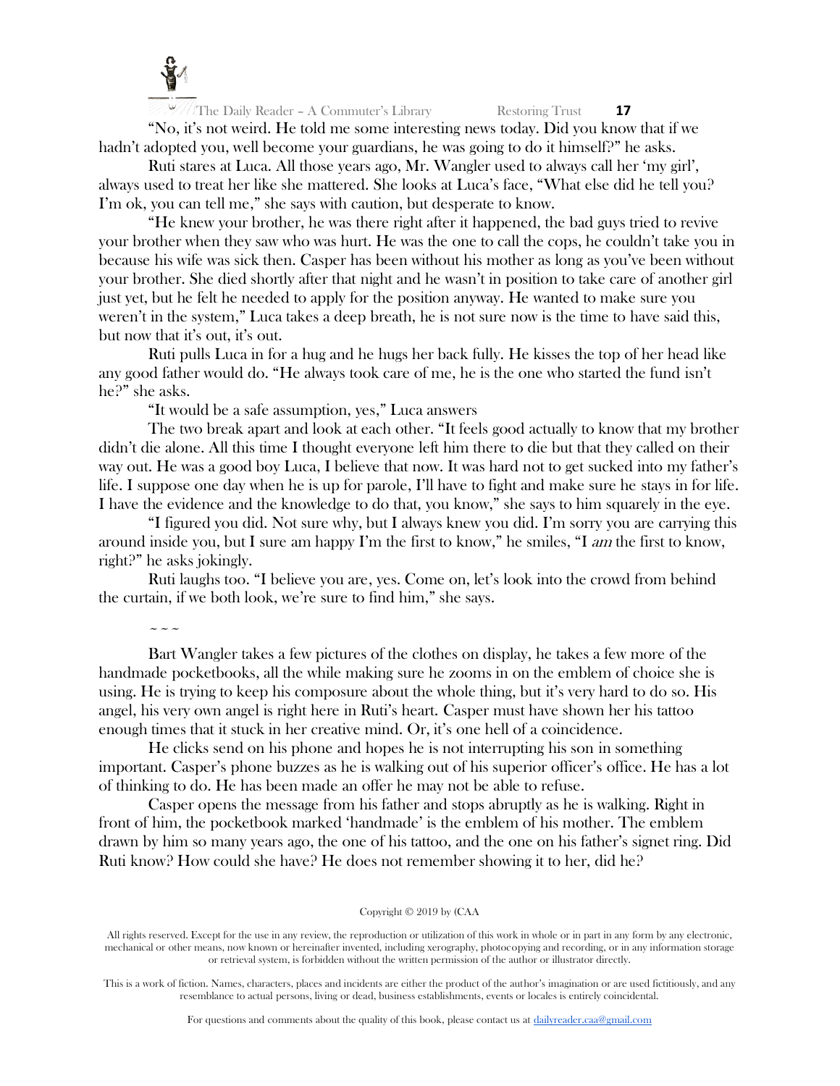

"No, it's not weird. He told me some interesting news today. Did you know that if we hadn't adopted you, well become your guardians, he was going to do it himself?" he asks.

Ruti stares at Luca. All those years ago, Mr. Wangler used to always call her 'my girl', always used to treat her like she mattered. She looks at Luca's face, "What else did he tell you? I'm ok, you can tell me," she says with caution, but desperate to know.

"He knew your brother, he was there right after it happened, the bad guys tried to revive your brother when they saw who was hurt. He was the one to call the cops, he couldn't take you in because his wife was sick then. Casper has been without his mother as long as you've been without your brother. She died shortly after that night and he wasn't in position to take care of another girl just yet, but he felt he needed to apply for the position anyway. He wanted to make sure you weren't in the system," Luca takes a deep breath, he is not sure now is the time to have said this, but now that it's out, it's out.

Ruti pulls Luca in for a hug and he hugs her back fully. He kisses the top of her head like any good father would do. "He always took care of me, he is the one who started the fund isn't he?" she asks.

"It would be a safe assumption, yes," Luca answers

The two break apart and look at each other. "It feels good actually to know that my brother didn't die alone. All this time I thought everyone left him there to die but that they called on their way out. He was a good boy Luca, I believe that now. It was hard not to get sucked into my father's life. I suppose one day when he is up for parole, I'll have to fight and make sure he stays in for life. I have the evidence and the knowledge to do that, you know," she says to him squarely in the eye.

"I figured you did. Not sure why, but I always knew you did. I'm sorry you are carrying this around inside you, but I sure am happy I'm the first to know," he smiles, "I am the first to know, right?" he asks jokingly.

Ruti laughs too. "I believe you are, yes. Come on, let's look into the crowd from behind the curtain, if we both look, we're sure to find him," she says.

 $\sim$   $\sim$   $\sim$ 

Bart Wangler takes a few pictures of the clothes on display, he takes a few more of the handmade pocketbooks, all the while making sure he zooms in on the emblem of choice she is using. He is trying to keep his composure about the whole thing, but it's very hard to do so. His angel, his very own angel is right here in Ruti's heart. Casper must have shown her his tattoo enough times that it stuck in her creative mind. Or, it's one hell of a coincidence.

He clicks send on his phone and hopes he is not interrupting his son in something important. Casper's phone buzzes as he is walking out of his superior officer's office. He has a lot of thinking to do. He has been made an offer he may not be able to refuse.

Casper opens the message from his father and stops abruptly as he is walking. Right in front of him, the pocketbook marked 'handmade' is the emblem of his mother. The emblem drawn by him so many years ago, the one of his tattoo, and the one on his father's signet ring. Did Ruti know? How could she have? He does not remember showing it to her, did he?

#### Copyright © 2019 by (CAA

All rights reserved. Except for the use in any review, the reproduction or utilization of this work in whole or in part in any form by any electronic, mechanical or other means, now known or hereinafter invented, including xerography, photocopying and recording, or in any information storage or retrieval system, is forbidden without the written permission of the author or illustrator directly.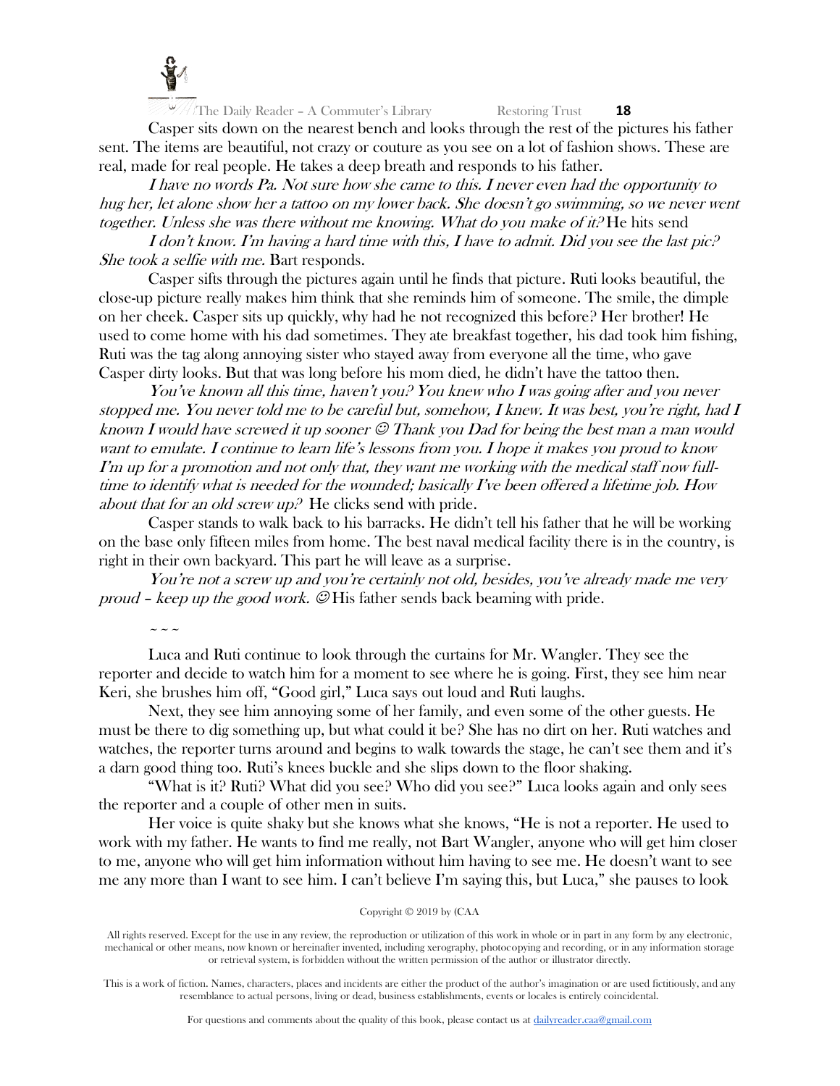

Casper sits down on the nearest bench and looks through the rest of the pictures his father sent. The items are beautiful, not crazy or couture as you see on a lot of fashion shows. These are real, made for real people. He takes a deep breath and responds to his father.

I have no words Pa. Not sure how she came to this. I never even had the opportunity to hug her, let alone show her a tattoo on my lower back. She doesn't go swimming, so we never went together. Unless she was there without me knowing. What do you make of it? He hits send

I don't know. I'm having a hard time with this, I have to admit. Did you see the last pic.<sup>2</sup> She took a selfie with me. Bart responds.

Casper sifts through the pictures again until he finds that picture. Ruti looks beautiful, the close-up picture really makes him think that she reminds him of someone. The smile, the dimple on her cheek. Casper sits up quickly, why had he not recognized this before? Her brother! He used to come home with his dad sometimes. They ate breakfast together, his dad took him fishing, Ruti was the tag along annoying sister who stayed away from everyone all the time, who gave Casper dirty looks. But that was long before his mom died, he didn't have the tattoo then.

You've known all this time, haven't you? You knew who I was going after and you never stopped me. You never told me to be careful but, somehow, I knew. It was best, you're right, had I known I would have screwed it up sooner  $\mathcal O$  Thank you Dad for being the best man a man would want to emulate. I continue to learn life's lessons from you. I hope it makes you proud to know I'm up for a promotion and not only that, they want me working with the medical staff now fulltime to identify what is needed for the wounded; basically I've been offered a lifetime job. How about that for an old screw up.<sup>2</sup> He clicks send with pride.

Casper stands to walk back to his barracks. He didn't tell his father that he will be working on the base only fifteen miles from home. The best naval medical facility there is in the country, is right in their own backyard. This part he will leave as a surprise.

You're not a screw up and you're certainly not old, besides, you've already made me very proud – keep up the good work.  $\mathcal{D}$  His father sends back beaming with pride.

 $\sim$   $\sim$   $\sim$ 

Luca and Ruti continue to look through the curtains for Mr. Wangler. They see the reporter and decide to watch him for a moment to see where he is going. First, they see him near Keri, she brushes him off, "Good girl," Luca says out loud and Ruti laughs.

Next, they see him annoying some of her family, and even some of the other guests. He must be there to dig something up, but what could it be? She has no dirt on her. Ruti watches and watches, the reporter turns around and begins to walk towards the stage, he can't see them and it's a darn good thing too. Ruti's knees buckle and she slips down to the floor shaking.

"What is it? Ruti? What did you see? Who did you see?" Luca looks again and only sees the reporter and a couple of other men in suits.

Her voice is quite shaky but she knows what she knows, "He is not a reporter. He used to work with my father. He wants to find me really, not Bart Wangler, anyone who will get him closer to me, anyone who will get him information without him having to see me. He doesn't want to see me any more than I want to see him. I can't believe I'm saying this, but Luca," she pauses to look

#### Copyright © 2019 by (CAA

All rights reserved. Except for the use in any review, the reproduction or utilization of this work in whole or in part in any form by any electronic, mechanical or other means, now known or hereinafter invented, including xerography, photocopying and recording, or in any information storage or retrieval system, is forbidden without the written permission of the author or illustrator directly.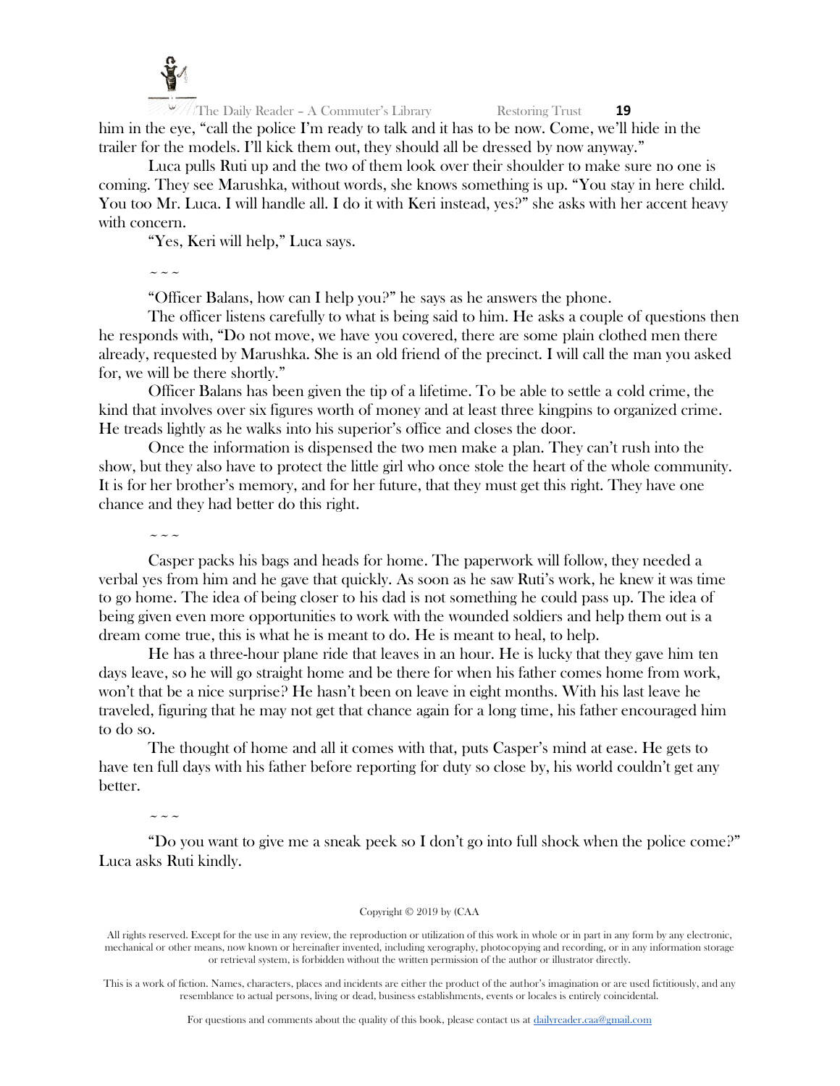

The Daily Reader – A Commuter's Library Restoring Trust **19** him in the eye, "call the police I'm ready to talk and it has to be now. Come, we'll hide in the trailer for the models. I'll kick them out, they should all be dressed by now anyway."

Luca pulls Ruti up and the two of them look over their shoulder to make sure no one is coming. They see Marushka, without words, she knows something is up. "You stay in here child. You too Mr. Luca. I will handle all. I do it with Keri instead, yes?" she asks with her accent heavy with concern.

"Yes, Keri will help," Luca says.

~~~

"Officer Balans, how can I help you?" he says as he answers the phone.

The officer listens carefully to what is being said to him. He asks a couple of questions then he responds with, "Do not move, we have you covered, there are some plain clothed men there already, requested by Marushka. She is an old friend of the precinct. I will call the man you asked for, we will be there shortly."

Officer Balans has been given the tip of a lifetime. To be able to settle a cold crime, the kind that involves over six figures worth of money and at least three kingpins to organized crime. He treads lightly as he walks into his superior's office and closes the door.

Once the information is dispensed the two men make a plan. They can't rush into the show, but they also have to protect the little girl who once stole the heart of the whole community. It is for her brother's memory, and for her future, that they must get this right. They have one chance and they had better do this right.

 $\sim$   $\sim$   $\sim$ 

Casper packs his bags and heads for home. The paperwork will follow, they needed a verbal yes from him and he gave that quickly. As soon as he saw Ruti's work, he knew it was time to go home. The idea of being closer to his dad is not something he could pass up. The idea of being given even more opportunities to work with the wounded soldiers and help them out is a dream come true, this is what he is meant to do. He is meant to heal, to help.

He has a three-hour plane ride that leaves in an hour. He is lucky that they gave him ten days leave, so he will go straight home and be there for when his father comes home from work, won't that be a nice surprise? He hasn't been on leave in eight months. With his last leave he traveled, figuring that he may not get that chance again for a long time, his father encouraged him to do so.

The thought of home and all it comes with that, puts Casper's mind at ease. He gets to have ten full days with his father before reporting for duty so close by, his world couldn't get any better.

~~~

"Do you want to give me a sneak peek so I don't go into full shock when the police come?" Luca asks Ruti kindly.

## Copyright © 2019 by (CAA

This is a work of fiction. Names, characters, places and incidents are either the product of the author's imagination or are used fictitiously, and any resemblance to actual persons, living or dead, business establishments, events or locales is entirely coincidental.

For questions and comments about the quality of this book, please contact us at [dailyreader.caa@gmail.com](mailto:dailyreader.caa@gmail.com)

All rights reserved. Except for the use in any review, the reproduction or utilization of this work in whole or in part in any form by any electronic, mechanical or other means, now known or hereinafter invented, including xerography, photocopying and recording, or in any information storage or retrieval system, is forbidden without the written permission of the author or illustrator directly.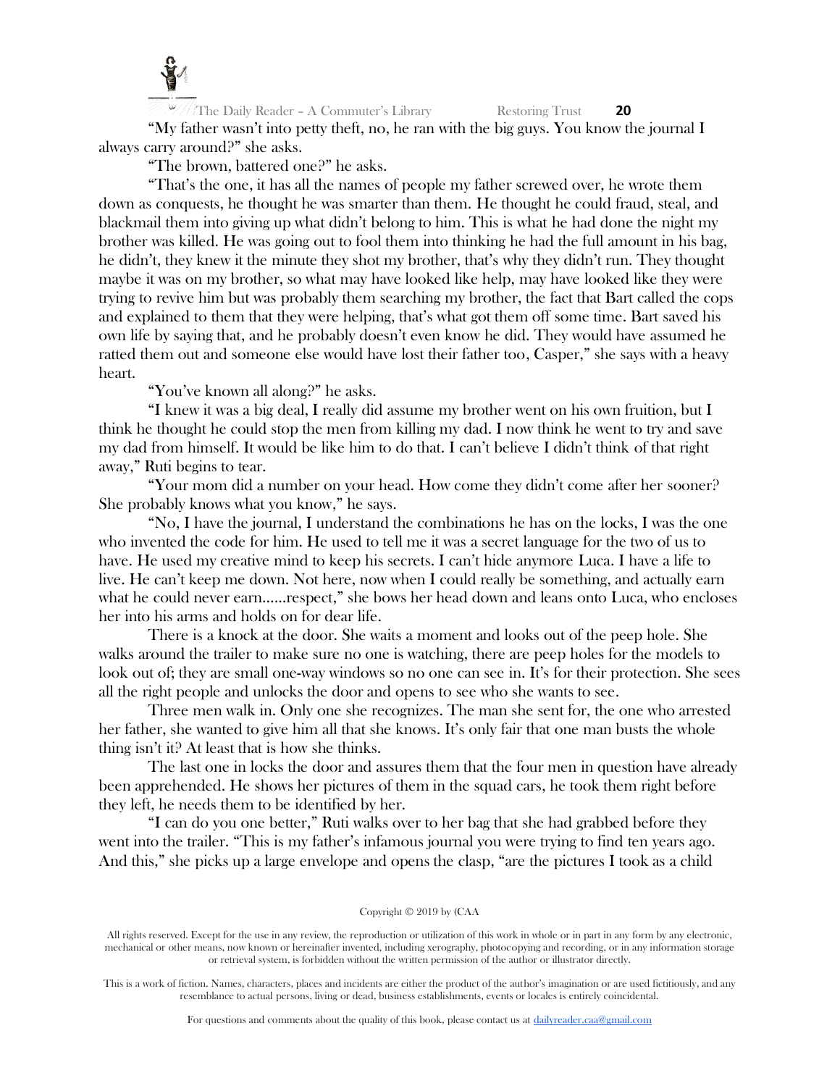

"My father wasn't into petty theft, no, he ran with the big guys. You know the journal I always carry around?" she asks.

"The brown, battered one?" he asks.

"That's the one, it has all the names of people my father screwed over, he wrote them down as conquests, he thought he was smarter than them. He thought he could fraud, steal, and blackmail them into giving up what didn't belong to him. This is what he had done the night my brother was killed. He was going out to fool them into thinking he had the full amount in his bag, he didn't, they knew it the minute they shot my brother, that's why they didn't run. They thought maybe it was on my brother, so what may have looked like help, may have looked like they were trying to revive him but was probably them searching my brother, the fact that Bart called the cops and explained to them that they were helping, that's what got them off some time. Bart saved his own life by saying that, and he probably doesn't even know he did. They would have assumed he ratted them out and someone else would have lost their father too, Casper," she says with a heavy heart.

"You've known all along?" he asks.

"I knew it was a big deal, I really did assume my brother went on his own fruition, but I think he thought he could stop the men from killing my dad. I now think he went to try and save my dad from himself. It would be like him to do that. I can't believe I didn't think of that right away," Ruti begins to tear.

"Your mom did a number on your head. How come they didn't come after her sooner? She probably knows what you know," he says.

"No, I have the journal, I understand the combinations he has on the locks, I was the one who invented the code for him. He used to tell me it was a secret language for the two of us to have. He used my creative mind to keep his secrets. I can't hide anymore Luca. I have a life to live. He can't keep me down. Not here, now when I could really be something, and actually earn what he could never earn……respect," she bows her head down and leans onto Luca, who encloses her into his arms and holds on for dear life.

There is a knock at the door. She waits a moment and looks out of the peep hole. She walks around the trailer to make sure no one is watching, there are peep holes for the models to look out of; they are small one-way windows so no one can see in. It's for their protection. She sees all the right people and unlocks the door and opens to see who she wants to see.

Three men walk in. Only one she recognizes. The man she sent for, the one who arrested her father, she wanted to give him all that she knows. It's only fair that one man busts the whole thing isn't it? At least that is how she thinks.

The last one in locks the door and assures them that the four men in question have already been apprehended. He shows her pictures of them in the squad cars, he took them right before they left, he needs them to be identified by her.

"I can do you one better," Ruti walks over to her bag that she had grabbed before they went into the trailer. "This is my father's infamous journal you were trying to find ten years ago. And this," she picks up a large envelope and opens the clasp, "are the pictures I took as a child

#### Copyright © 2019 by (CAA

All rights reserved. Except for the use in any review, the reproduction or utilization of this work in whole or in part in any form by any electronic, mechanical or other means, now known or hereinafter invented, including xerography, photocopying and recording, or in any information storage or retrieval system, is forbidden without the written permission of the author or illustrator directly.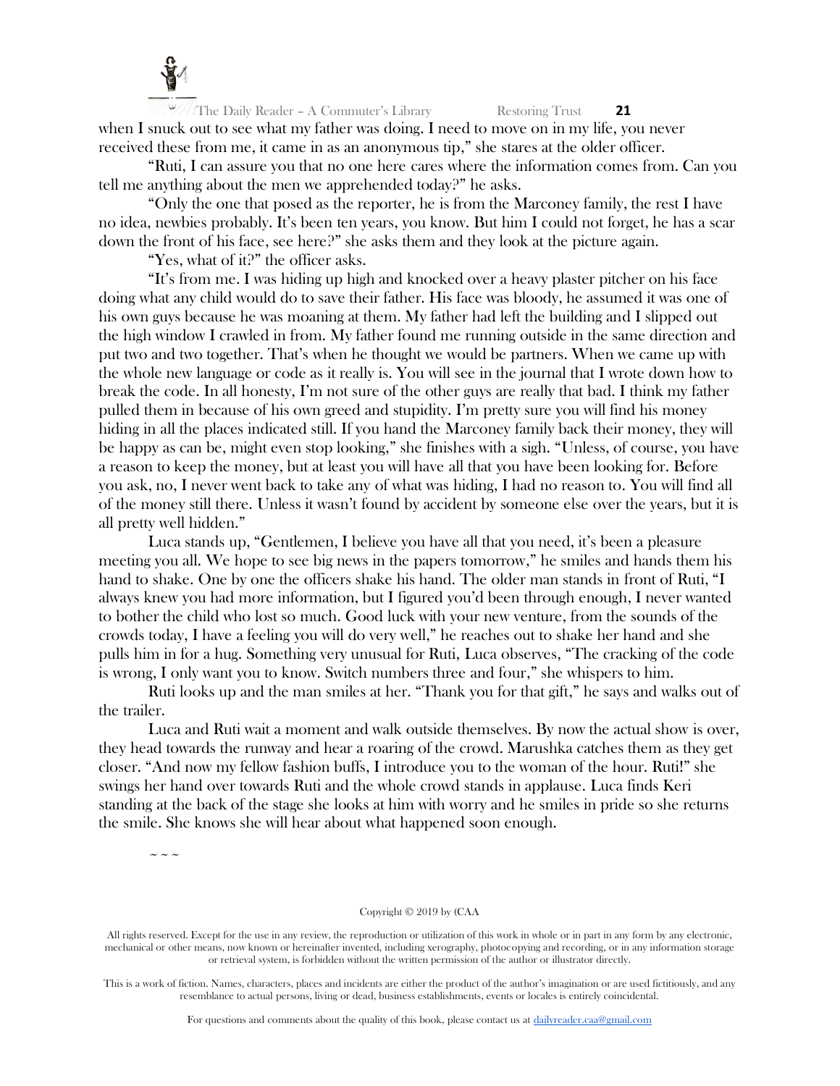

All The Daily Reader – A Commuter's Library Restoring Trust **21** when I snuck out to see what my father was doing. I need to move on in my life, you never received these from me, it came in as an anonymous tip," she stares at the older officer.

"Ruti, I can assure you that no one here cares where the information comes from. Can you tell me anything about the men we apprehended today?" he asks.

"Only the one that posed as the reporter, he is from the Marconey family, the rest I have no idea, newbies probably. It's been ten years, you know. But him I could not forget, he has a scar down the front of his face, see here?" she asks them and they look at the picture again.

"Yes, what of it?" the officer asks.

"It's from me. I was hiding up high and knocked over a heavy plaster pitcher on his face doing what any child would do to save their father. His face was bloody, he assumed it was one of his own guys because he was moaning at them. My father had left the building and I slipped out the high window I crawled in from. My father found me running outside in the same direction and put two and two together. That's when he thought we would be partners. When we came up with the whole new language or code as it really is. You will see in the journal that I wrote down how to break the code. In all honesty, I'm not sure of the other guys are really that bad. I think my father pulled them in because of his own greed and stupidity. I'm pretty sure you will find his money hiding in all the places indicated still. If you hand the Marconey family back their money, they will be happy as can be, might even stop looking," she finishes with a sigh. "Unless, of course, you have a reason to keep the money, but at least you will have all that you have been looking for. Before you ask, no, I never went back to take any of what was hiding, I had no reason to. You will find all of the money still there. Unless it wasn't found by accident by someone else over the years, but it is all pretty well hidden."

Luca stands up, "Gentlemen, I believe you have all that you need, it's been a pleasure meeting you all. We hope to see big news in the papers tomorrow," he smiles and hands them his hand to shake. One by one the officers shake his hand. The older man stands in front of Ruti, "I always knew you had more information, but I figured you'd been through enough, I never wanted to bother the child who lost so much. Good luck with your new venture, from the sounds of the crowds today, I have a feeling you will do very well," he reaches out to shake her hand and she pulls him in for a hug. Something very unusual for Ruti, Luca observes, "The cracking of the code is wrong, I only want you to know. Switch numbers three and four," she whispers to him.

Ruti looks up and the man smiles at her. "Thank you for that gift," he says and walks out of the trailer.

Luca and Ruti wait a moment and walk outside themselves. By now the actual show is over, they head towards the runway and hear a roaring of the crowd. Marushka catches them as they get closer. "And now my fellow fashion buffs, I introduce you to the woman of the hour. Ruti!" she swings her hand over towards Ruti and the whole crowd stands in applause. Luca finds Keri standing at the back of the stage she looks at him with worry and he smiles in pride so she returns the smile. She knows she will hear about what happened soon enough.

 $\sim$   $\sim$   $\sim$ 

#### Copyright © 2019 by (CAA

All rights reserved. Except for the use in any review, the reproduction or utilization of this work in whole or in part in any form by any electronic, mechanical or other means, now known or hereinafter invented, including xerography, photocopying and recording, or in any information storage or retrieval system, is forbidden without the written permission of the author or illustrator directly.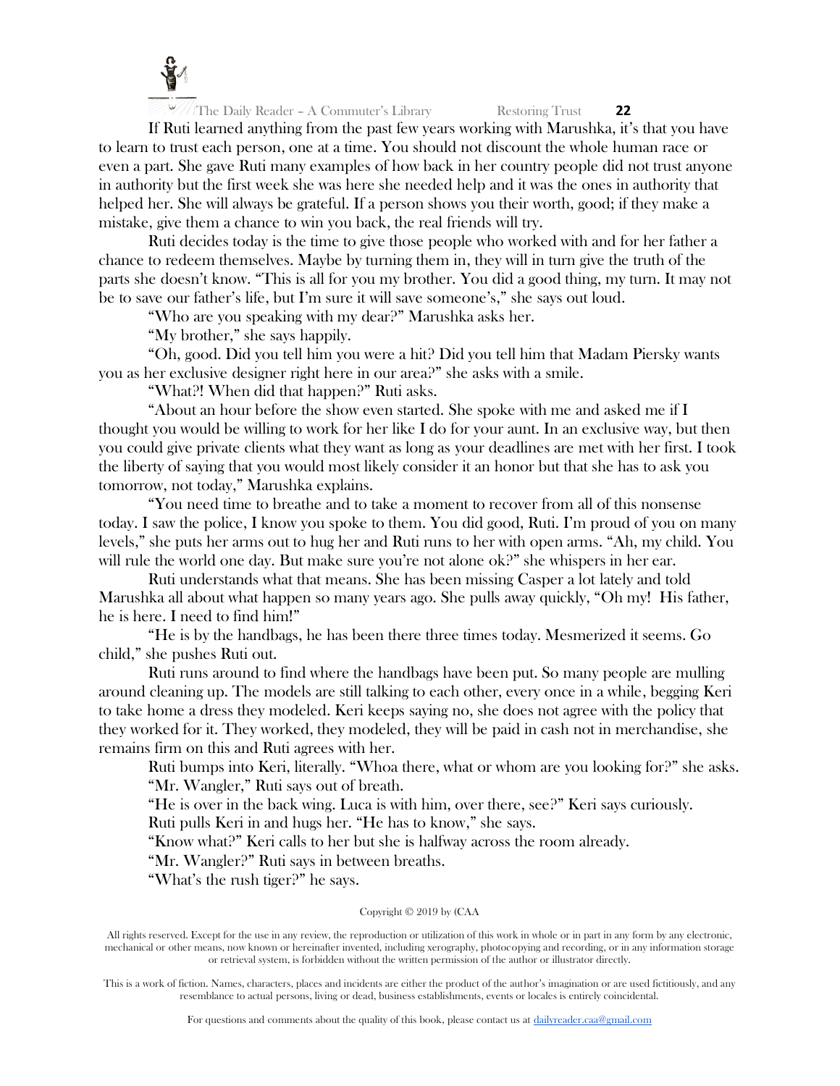

If Ruti learned anything from the past few years working with Marushka, it's that you have to learn to trust each person, one at a time. You should not discount the whole human race or even a part. She gave Ruti many examples of how back in her country people did not trust anyone in authority but the first week she was here she needed help and it was the ones in authority that helped her. She will always be grateful. If a person shows you their worth, good; if they make a mistake, give them a chance to win you back, the real friends will try.

Ruti decides today is the time to give those people who worked with and for her father a chance to redeem themselves. Maybe by turning them in, they will in turn give the truth of the parts she doesn't know. "This is all for you my brother. You did a good thing, my turn. It may not be to save our father's life, but I'm sure it will save someone's," she says out loud.

"Who are you speaking with my dear?" Marushka asks her.

"My brother," she says happily.

"Oh, good. Did you tell him you were a hit? Did you tell him that Madam Piersky wants you as her exclusive designer right here in our area?" she asks with a smile.

"What?! When did that happen?" Ruti asks.

"About an hour before the show even started. She spoke with me and asked me if I thought you would be willing to work for her like I do for your aunt. In an exclusive way, but then you could give private clients what they want as long as your deadlines are met with her first. I took the liberty of saying that you would most likely consider it an honor but that she has to ask you tomorrow, not today," Marushka explains.

"You need time to breathe and to take a moment to recover from all of this nonsense today. I saw the police, I know you spoke to them. You did good, Ruti. I'm proud of you on many levels," she puts her arms out to hug her and Ruti runs to her with open arms. "Ah, my child. You will rule the world one day. But make sure you're not alone ok?" she whispers in her ear.

Ruti understands what that means. She has been missing Casper a lot lately and told Marushka all about what happen so many years ago. She pulls away quickly, "Oh my! His father, he is here. I need to find him!"

"He is by the handbags, he has been there three times today. Mesmerized it seems. Go child," she pushes Ruti out.

Ruti runs around to find where the handbags have been put. So many people are mulling around cleaning up. The models are still talking to each other, every once in a while, begging Keri to take home a dress they modeled. Keri keeps saying no, she does not agree with the policy that they worked for it. They worked, they modeled, they will be paid in cash not in merchandise, she remains firm on this and Ruti agrees with her.

Ruti bumps into Keri, literally. "Whoa there, what or whom are you looking for?" she asks. "Mr. Wangler," Ruti says out of breath.

"He is over in the back wing. Luca is with him, over there, see?" Keri says curiously.

Ruti pulls Keri in and hugs her. "He has to know," she says.

"Know what?" Keri calls to her but she is halfway across the room already.

"Mr. Wangler?" Ruti says in between breaths.

"What's the rush tiger?" he says.

## Copyright © 2019 by (CAA

All rights reserved. Except for the use in any review, the reproduction or utilization of this work in whole or in part in any form by any electronic, mechanical or other means, now known or hereinafter invented, including xerography, photocopying and recording, or in any information storage or retrieval system, is forbidden without the written permission of the author or illustrator directly.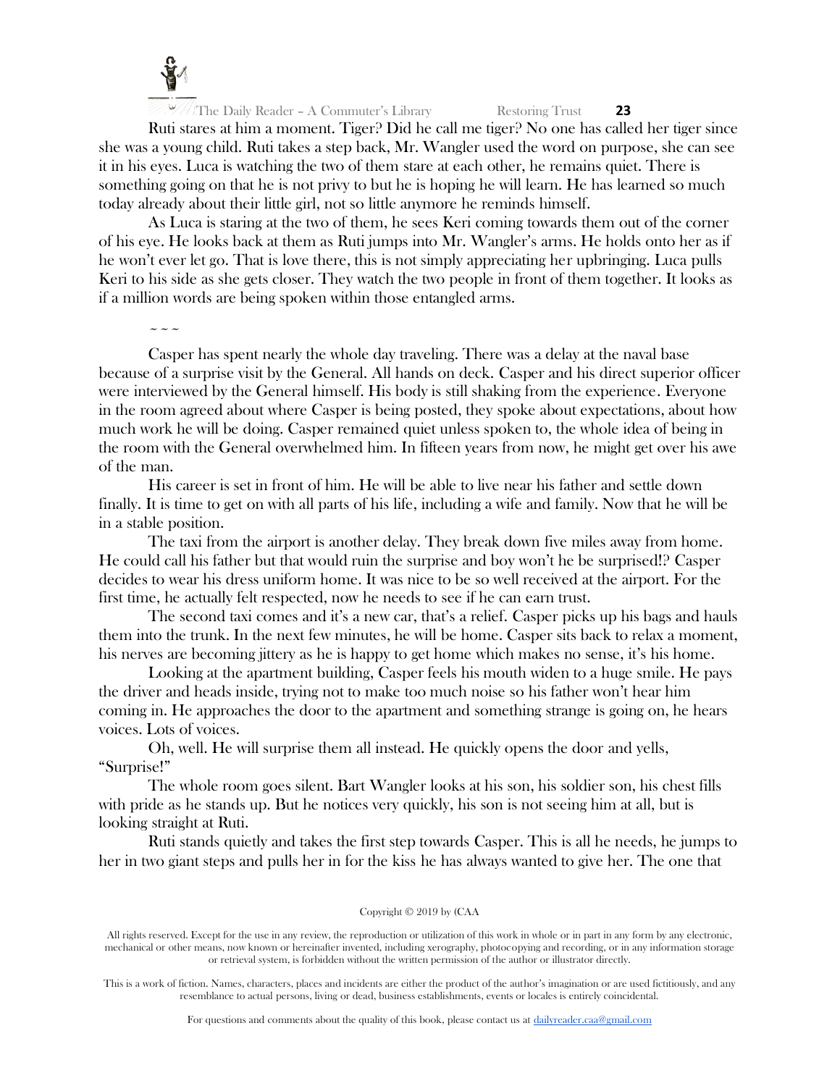

Ruti stares at him a moment. Tiger? Did he call me tiger? No one has called her tiger since she was a young child. Ruti takes a step back, Mr. Wangler used the word on purpose, she can see it in his eyes. Luca is watching the two of them stare at each other, he remains quiet. There is something going on that he is not privy to but he is hoping he will learn. He has learned so much today already about their little girl, not so little anymore he reminds himself.

As Luca is staring at the two of them, he sees Keri coming towards them out of the corner of his eye. He looks back at them as Ruti jumps into Mr. Wangler's arms. He holds onto her as if he won't ever let go. That is love there, this is not simply appreciating her upbringing. Luca pulls Keri to his side as she gets closer. They watch the two people in front of them together. It looks as if a million words are being spoken within those entangled arms.

 $\sim$   $\sim$   $\sim$ 

Casper has spent nearly the whole day traveling. There was a delay at the naval base because of a surprise visit by the General. All hands on deck. Casper and his direct superior officer were interviewed by the General himself. His body is still shaking from the experience. Everyone in the room agreed about where Casper is being posted, they spoke about expectations, about how much work he will be doing. Casper remained quiet unless spoken to, the whole idea of being in the room with the General overwhelmed him. In fifteen years from now, he might get over his awe of the man.

His career is set in front of him. He will be able to live near his father and settle down finally. It is time to get on with all parts of his life, including a wife and family. Now that he will be in a stable position.

The taxi from the airport is another delay. They break down five miles away from home. He could call his father but that would ruin the surprise and boy won't he be surprised!? Casper decides to wear his dress uniform home. It was nice to be so well received at the airport. For the first time, he actually felt respected, now he needs to see if he can earn trust.

The second taxi comes and it's a new car, that's a relief. Casper picks up his bags and hauls them into the trunk. In the next few minutes, he will be home. Casper sits back to relax a moment, his nerves are becoming jittery as he is happy to get home which makes no sense, it's his home.

Looking at the apartment building, Casper feels his mouth widen to a huge smile. He pays the driver and heads inside, trying not to make too much noise so his father won't hear him coming in. He approaches the door to the apartment and something strange is going on, he hears voices. Lots of voices.

Oh, well. He will surprise them all instead. He quickly opens the door and yells, "Surprise!"

The whole room goes silent. Bart Wangler looks at his son, his soldier son, his chest fills with pride as he stands up. But he notices very quickly, his son is not seeing him at all, but is looking straight at Ruti.

Ruti stands quietly and takes the first step towards Casper. This is all he needs, he jumps to her in two giant steps and pulls her in for the kiss he has always wanted to give her. The one that

#### Copyright © 2019 by (CAA

All rights reserved. Except for the use in any review, the reproduction or utilization of this work in whole or in part in any form by any electronic, mechanical or other means, now known or hereinafter invented, including xerography, photocopying and recording, or in any information storage or retrieval system, is forbidden without the written permission of the author or illustrator directly.